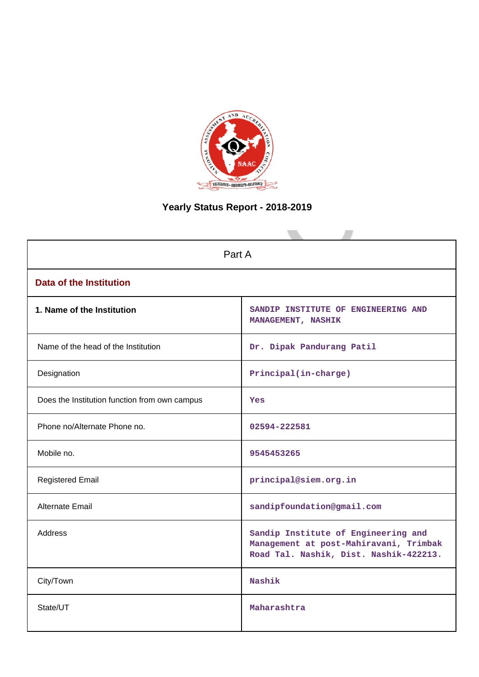

# **Yearly Status Report - 2018-2019**

| Part A                                        |                                                                                                                         |
|-----------------------------------------------|-------------------------------------------------------------------------------------------------------------------------|
| <b>Data of the Institution</b>                |                                                                                                                         |
| 1. Name of the Institution                    | SANDIP INSTITUTE OF ENGINEERING AND<br>MANAGEMENT, NASHIK                                                               |
| Name of the head of the Institution           | Dr. Dipak Pandurang Patil                                                                                               |
| Designation                                   | Principal(in-charge)                                                                                                    |
| Does the Institution function from own campus | Yes                                                                                                                     |
| Phone no/Alternate Phone no.                  | 02594-222581                                                                                                            |
| Mobile no.                                    | 9545453265                                                                                                              |
| <b>Registered Email</b>                       | principal@siem.org.in                                                                                                   |
| <b>Alternate Email</b>                        | sandipfoundation@gmail.com                                                                                              |
| <b>Address</b>                                | Sandip Institute of Engineering and<br>Management at post-Mahiravani, Trimbak<br>Road Tal. Nashik, Dist. Nashik-422213. |
| City/Town                                     | Nashik                                                                                                                  |
| State/UT                                      | Maharashtra                                                                                                             |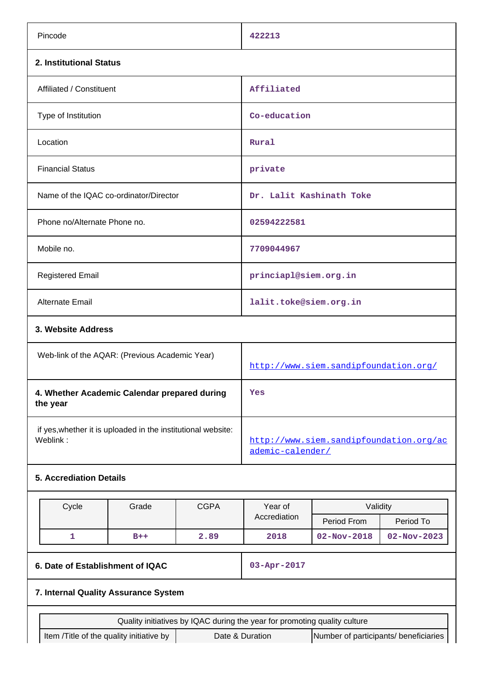| Pincode                                                                                              |       |             | 422213                                                                    |                   |                   |  |
|------------------------------------------------------------------------------------------------------|-------|-------------|---------------------------------------------------------------------------|-------------------|-------------------|--|
| 2. Institutional Status                                                                              |       |             |                                                                           |                   |                   |  |
| Affiliated / Constituent                                                                             |       |             | Affiliated                                                                |                   |                   |  |
| Type of Institution                                                                                  |       |             |                                                                           | Co-education      |                   |  |
| Location                                                                                             |       |             |                                                                           | Rural             |                   |  |
| <b>Financial Status</b>                                                                              |       |             | private                                                                   |                   |                   |  |
| Name of the IQAC co-ordinator/Director                                                               |       |             | Dr. Lalit Kashinath Toke                                                  |                   |                   |  |
| Phone no/Alternate Phone no.                                                                         |       |             | 02594222581                                                               |                   |                   |  |
| Mobile no.                                                                                           |       |             | 7709044967                                                                |                   |                   |  |
| <b>Registered Email</b>                                                                              |       |             | princiapl@siem.org.in                                                     |                   |                   |  |
| <b>Alternate Email</b>                                                                               |       |             | lalit.toke@siem.org.in                                                    |                   |                   |  |
| 3. Website Address                                                                                   |       |             |                                                                           |                   |                   |  |
| Web-link of the AQAR: (Previous Academic Year)                                                       |       |             | http://www.siem.sandipfoundation.org/                                     |                   |                   |  |
| 4. Whether Academic Calendar prepared during<br>the year                                             |       |             | Yes                                                                       |                   |                   |  |
| if yes, whether it is uploaded in the institutional website:<br>Weblink:                             |       |             | http://www.siem.sandipfoundation.org/ac<br>ademic-calender/               |                   |                   |  |
| <b>5. Accrediation Details</b>                                                                       |       |             |                                                                           |                   |                   |  |
| Cycle                                                                                                | Grade | <b>CGPA</b> | Year of<br>Validity                                                       |                   |                   |  |
|                                                                                                      |       |             | Accrediation                                                              | Period From       | Period To         |  |
| $\mathbf{1}$                                                                                         | $B++$ | 2.89        | 2018                                                                      | $02 - Nov - 2018$ | $02 - Nov - 2023$ |  |
| 6. Date of Establishment of IQAC                                                                     |       |             | 03-Apr-2017                                                               |                   |                   |  |
| 7. Internal Quality Assurance System                                                                 |       |             |                                                                           |                   |                   |  |
|                                                                                                      |       |             | Quality initiatives by IQAC during the year for promoting quality culture |                   |                   |  |
| Item /Title of the quality initiative by<br>Date & Duration<br>Number of participants/ beneficiaries |       |             |                                                                           |                   |                   |  |
|                                                                                                      |       |             |                                                                           |                   |                   |  |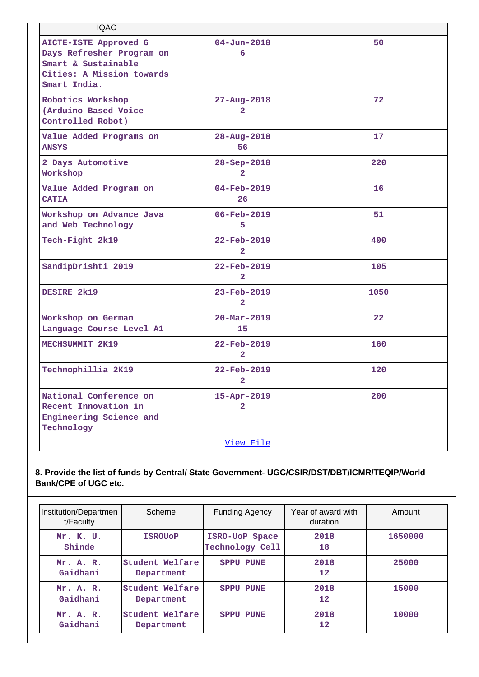| <b>IQAC</b>                                                                                                            |                                            |      |
|------------------------------------------------------------------------------------------------------------------------|--------------------------------------------|------|
| AICTE-ISTE Approved 6<br>Days Refresher Program on<br>Smart & Sustainable<br>Cities: A Mission towards<br>Smart India. | $04 - Jun - 2018$<br>6                     | 50   |
| Robotics Workshop<br>(Arduino Based Voice<br>Controlled Robot)                                                         | $27 - Aug - 2018$<br>2                     | 72   |
| Value Added Programs on<br><b>ANSYS</b>                                                                                | 28-Aug-2018<br>56                          | 17   |
| 2 Days Automotive<br>Workshop                                                                                          | 28-Sep-2018<br>2                           | 220  |
| Value Added Program on<br><b>CATIA</b>                                                                                 | $04 - Feb - 2019$<br>26                    | 16   |
| Workshop on Advance Java<br>and Web Technology                                                                         | 06-Feb-2019<br>5                           | 51   |
| Tech-Fight 2k19                                                                                                        | 22-Feb-2019<br>$\overline{2}$              | 400  |
| SandipDrishti 2019                                                                                                     | 22-Feb-2019<br>$\mathbf{2}$                | 105  |
| DESIRE 2k19                                                                                                            | $23 - \text{Feb} - 2019$<br>$\overline{2}$ | 1050 |
| Workshop on German<br>Language Course Level A1                                                                         | $20 - \text{Mar} - 2019$<br>15             | 22   |
| MECHSUMMIT 2K19                                                                                                        | $22 - \text{Feb} - 2019$<br>$\overline{2}$ | 160  |
| Technophillia 2K19                                                                                                     | 22-Feb-2019<br>$\mathbf{2}$                | 120  |
| National Conference on<br>Recent Innovation in<br>Engineering Science and<br>Technology                                | 15-Apr-2019<br>$\overline{2}$              | 200  |
|                                                                                                                        | View File                                  |      |

# **8. Provide the list of funds by Central/ State Government- UGC/CSIR/DST/DBT/ICMR/TEQIP/World Bank/CPE of UGC etc.**

| Institution/Departmen<br>t/Faculty | Scheme                        | <b>Funding Agency</b>             | Year of award with<br>duration | Amount  |
|------------------------------------|-------------------------------|-----------------------------------|--------------------------------|---------|
| Mr. K. U.<br>Shinde                | <b>ISROUOP</b>                | ISRO-UoP Space<br>Technology Cell | 2018<br>18                     | 1650000 |
| Mr. A. R.<br>Gaidhani              | Student Welfare<br>Department | <b>SPPU PUNE</b>                  | 2018<br>$12 \overline{ }$      | 25000   |
| Mr. A. R.<br>Gaidhani              | Student Welfare<br>Department | <b>SPPU PUNE</b>                  | 2018<br>12                     | 15000   |
| Mr. A. R.<br>Gaidhani              | Student Welfare<br>Department | <b>SPPU PUNE</b>                  | 2018<br>12                     | 10000   |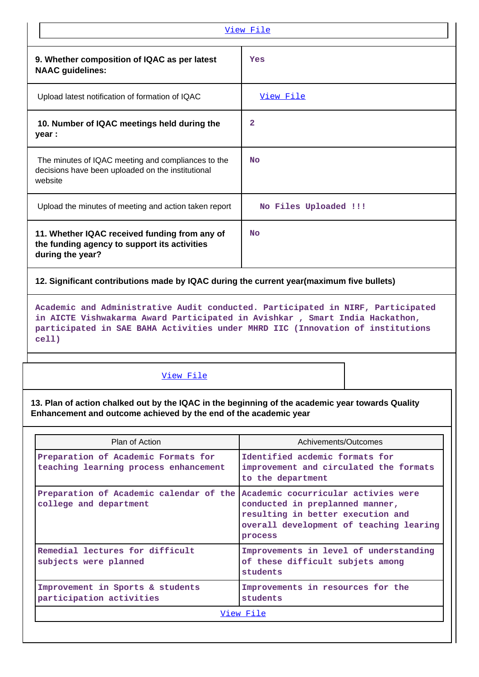|                                                                                                                    | View File             |  |  |  |
|--------------------------------------------------------------------------------------------------------------------|-----------------------|--|--|--|
| 9. Whether composition of IQAC as per latest<br><b>NAAC</b> guidelines:                                            | Yes                   |  |  |  |
| Upload latest notification of formation of IQAC                                                                    | <u>View File</u>      |  |  |  |
| 10. Number of IQAC meetings held during the<br>year :                                                              | 2                     |  |  |  |
| The minutes of IQAC meeting and compliances to the<br>decisions have been uploaded on the institutional<br>website | <b>No</b>             |  |  |  |
| Upload the minutes of meeting and action taken report                                                              | No Files Uploaded !!! |  |  |  |
| 11. Whether IQAC received funding from any of<br>the funding agency to support its activities<br>during the year?  | No                    |  |  |  |
| 12. Significant contributions made by IQAC during the current year(maximum five bullets)                           |                       |  |  |  |

**Academic and Administrative Audit conducted. Participated in NIRF, Participated in AICTE Vishwakarma Award Participated in Avishkar , Smart India Hackathon, participated in SAE BAHA Activities under MHRD IIC (Innovation of institutions cell)**

# [View File](https://assessmentonline.naac.gov.in/public/Postacc/Contribution/1972_Contribution.xlsx)

**13. Plan of action chalked out by the IQAC in the beginning of the academic year towards Quality Enhancement and outcome achieved by the end of the academic year**

| Plan of Action                                                                                        | Achivements/Outcomes                                                                                                       |  |  |
|-------------------------------------------------------------------------------------------------------|----------------------------------------------------------------------------------------------------------------------------|--|--|
| Preparation of Academic Formats for<br>teaching learning process enhancement                          | Identified acdemic formats for<br>improvement and circulated the formats<br>to the department                              |  |  |
| Preparation of Academic calendar of the Academic cocurricular activies were<br>college and department | conducted in preplanned manner,<br>resulting in better execution and<br>overall development of teaching learing<br>process |  |  |
| Remedial lectures for difficult<br>subjects were planned                                              | Improvements in level of understanding<br>of these difficult subjets among<br>students                                     |  |  |
| Improvement in Sports & students<br>participation activities                                          | Improvements in resources for the<br>students                                                                              |  |  |
| View File                                                                                             |                                                                                                                            |  |  |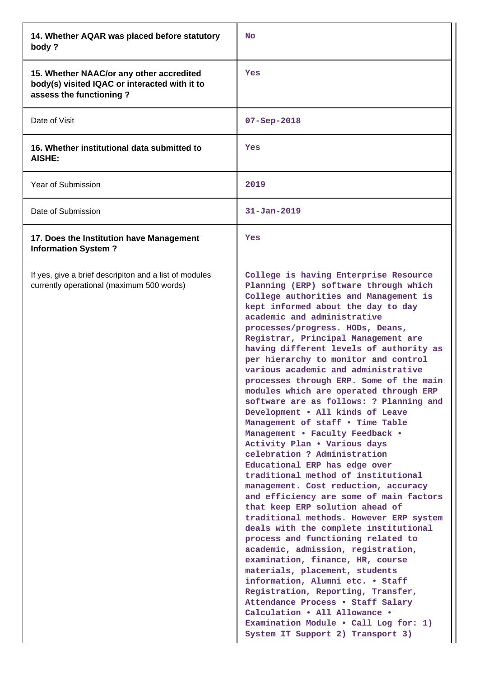| 14. Whether AQAR was placed before statutory<br>body?                                                                | No                                                                                                                                                                                                                                                                                                                                                                                                                                                                                                                                                                                                                                                                                                                                                                                                                                                                                                                                                                                                                                                                                                                                                                                                                                                                                                                                                                             |
|----------------------------------------------------------------------------------------------------------------------|--------------------------------------------------------------------------------------------------------------------------------------------------------------------------------------------------------------------------------------------------------------------------------------------------------------------------------------------------------------------------------------------------------------------------------------------------------------------------------------------------------------------------------------------------------------------------------------------------------------------------------------------------------------------------------------------------------------------------------------------------------------------------------------------------------------------------------------------------------------------------------------------------------------------------------------------------------------------------------------------------------------------------------------------------------------------------------------------------------------------------------------------------------------------------------------------------------------------------------------------------------------------------------------------------------------------------------------------------------------------------------|
| 15. Whether NAAC/or any other accredited<br>body(s) visited IQAC or interacted with it to<br>assess the functioning? | Yes                                                                                                                                                                                                                                                                                                                                                                                                                                                                                                                                                                                                                                                                                                                                                                                                                                                                                                                                                                                                                                                                                                                                                                                                                                                                                                                                                                            |
| Date of Visit                                                                                                        | $07 - Sep - 2018$                                                                                                                                                                                                                                                                                                                                                                                                                                                                                                                                                                                                                                                                                                                                                                                                                                                                                                                                                                                                                                                                                                                                                                                                                                                                                                                                                              |
| 16. Whether institutional data submitted to<br><b>AISHE:</b>                                                         | Yes                                                                                                                                                                                                                                                                                                                                                                                                                                                                                                                                                                                                                                                                                                                                                                                                                                                                                                                                                                                                                                                                                                                                                                                                                                                                                                                                                                            |
| Year of Submission                                                                                                   | 2019                                                                                                                                                                                                                                                                                                                                                                                                                                                                                                                                                                                                                                                                                                                                                                                                                                                                                                                                                                                                                                                                                                                                                                                                                                                                                                                                                                           |
| Date of Submission                                                                                                   | $31 - Jan - 2019$                                                                                                                                                                                                                                                                                                                                                                                                                                                                                                                                                                                                                                                                                                                                                                                                                                                                                                                                                                                                                                                                                                                                                                                                                                                                                                                                                              |
| 17. Does the Institution have Management<br><b>Information System?</b>                                               | Yes                                                                                                                                                                                                                                                                                                                                                                                                                                                                                                                                                                                                                                                                                                                                                                                                                                                                                                                                                                                                                                                                                                                                                                                                                                                                                                                                                                            |
| If yes, give a brief descripiton and a list of modules<br>currently operational (maximum 500 words)                  | College is having Enterprise Resource<br>Planning (ERP) software through which<br>College authorities and Management is<br>kept informed about the day to day<br>academic and administrative<br>processes/progress. HODs, Deans,<br>Registrar, Principal Management are<br>having different levels of authority as<br>per hierarchy to monitor and control<br>various academic and administrative<br>processes through ERP. Some of the main<br>modules which are operated through ERP<br>software are as follows: ? Planning and<br>Development . All kinds of Leave<br>Management of staff . Time Table<br>Management . Faculty Feedback .<br>Activity Plan . Various days<br>celebration ? Administration<br>Educational ERP has edge over<br>traditional method of institutional<br>management. Cost reduction, accuracy<br>and efficiency are some of main factors<br>that keep ERP solution ahead of<br>traditional methods. However ERP system<br>deals with the complete institutional<br>process and functioning related to<br>academic, admission, registration,<br>examination, finance, HR, course<br>materials, placement, students<br>information, Alumni etc. . Staff<br>Registration, Reporting, Transfer,<br>Attendance Process . Staff Salary<br>Calculation . All Allowance .<br>Examination Module . Call Log for: 1)<br>System IT Support 2) Transport 3) |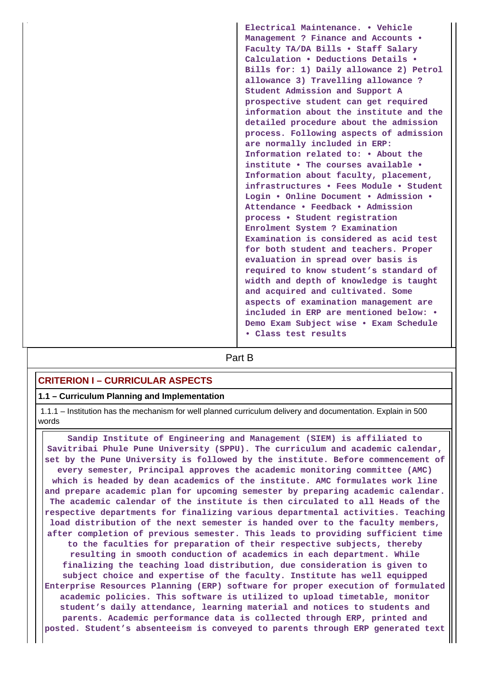**Electrical Maintenance. • Vehicle Management ? Finance and Accounts • Faculty TA/DA Bills • Staff Salary Calculation • Deductions Details • Bills for: 1) Daily allowance 2) Petrol allowance 3) Travelling allowance ? Student Admission and Support A prospective student can get required information about the institute and the detailed procedure about the admission process. Following aspects of admission are normally included in ERP: Information related to: • About the institute • The courses available • Information about faculty, placement, infrastructures • Fees Module • Student Login • Online Document • Admission • Attendance • Feedback • Admission process • Student registration Enrolment System ? Examination Examination is considered as acid test for both student and teachers. Proper evaluation in spread over basis is required to know student's standard of width and depth of knowledge is taught and acquired and cultivated. Some aspects of examination management are included in ERP are mentioned below: • Demo Exam Subject wise • Exam Schedule • Class test results**

**Part B** 

# **CRITERION I – CURRICULAR ASPECTS**

#### **1.1 – Curriculum Planning and Implementation**

 1.1.1 – Institution has the mechanism for well planned curriculum delivery and documentation. Explain in 500 words

 **Sandip Institute of Engineering and Management (SIEM) is affiliated to Savitribai Phule Pune University (SPPU). The curriculum and academic calendar, set by the Pune University is followed by the institute. Before commencement of every semester, Principal approves the academic monitoring committee (AMC) which is headed by dean academics of the institute. AMC formulates work line and prepare academic plan for upcoming semester by preparing academic calendar. The academic calendar of the institute is then circulated to all Heads of the respective departments for finalizing various departmental activities. Teaching load distribution of the next semester is handed over to the faculty members, after completion of previous semester. This leads to providing sufficient time to the faculties for preparation of their respective subjects, thereby resulting in smooth conduction of academics in each department. While finalizing the teaching load distribution, due consideration is given to subject choice and expertise of the faculty. Institute has well equipped Enterprise Resources Planning (ERP) software for proper execution of formulated academic policies. This software is utilized to upload timetable, monitor student's daily attendance, learning material and notices to students and parents. Academic performance data is collected through ERP, printed and posted. Student's absenteeism is conveyed to parents through ERP generated text**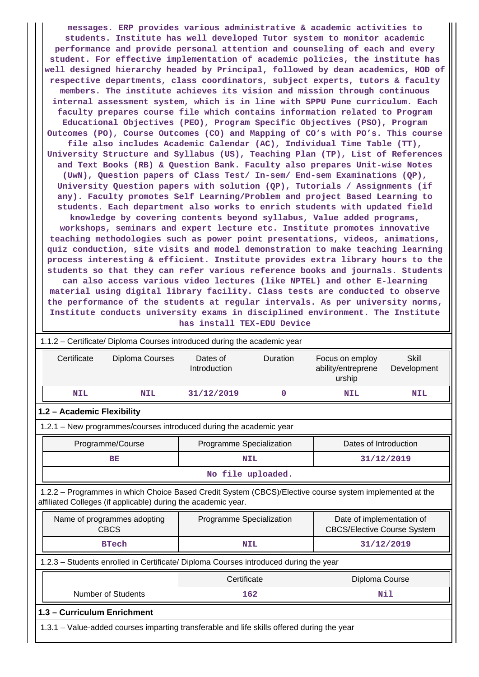**messages. ERP provides various administrative & academic activities to students. Institute has well developed Tutor system to monitor academic performance and provide personal attention and counseling of each and every student. For effective implementation of academic policies, the institute has well designed hierarchy headed by Principal, followed by dean academics, HOD of respective departments, class coordinators, subject experts, tutors & faculty members. The institute achieves its vision and mission through continuous internal assessment system, which is in line with SPPU Pune curriculum. Each faculty prepares course file which contains information related to Program Educational Objectives (PEO), Program Specific Objectives (PSO), Program Outcomes (PO), Course Outcomes (CO) and Mapping of CO's with PO's. This course file also includes Academic Calendar (AC), Individual Time Table (TT), University Structure and Syllabus (US), Teaching Plan (TP), List of References and Text Books (RB) & Question Bank. Faculty also prepares Unit-wise Notes (UwN), Question papers of Class Test/ In-sem/ End-sem Examinations (QP), University Question papers with solution (QP), Tutorials / Assignments (if any). Faculty promotes Self Learning/Problem and project Based Learning to students. Each department also works to enrich students with updated field knowledge by covering contents beyond syllabus, Value added programs, workshops, seminars and expert lecture etc. Institute promotes innovative teaching methodologies such as power point presentations, videos, animations, quiz conduction, site visits and model demonstration to make teaching learning process interesting & efficient. Institute provides extra library hours to the students so that they can refer various reference books and journals. Students can also access various video lectures (like NPTEL) and other E-learning material using digital library facility. Class tests are conducted to observe the performance of the students at regular intervals. As per university norms, Institute conducts university exams in disciplined environment. The Institute**

**has install TEX-EDU Device**

| 1.1.2 – Certificate/ Diploma Courses introduced during the academic year                                                                                                 |                 |                          |          |                                                                 |                             |  |  |
|--------------------------------------------------------------------------------------------------------------------------------------------------------------------------|-----------------|--------------------------|----------|-----------------------------------------------------------------|-----------------------------|--|--|
| Certificate                                                                                                                                                              | Diploma Courses | Dates of<br>Introduction | Duration | Focus on employ<br>ability/entreprene<br>urship                 | <b>Skill</b><br>Development |  |  |
| <b>NIL</b>                                                                                                                                                               | <b>NIL</b>      | 31/12/2019               | 0        | <b>NIL</b>                                                      | <b>NIL</b>                  |  |  |
| 1.2 - Academic Flexibility                                                                                                                                               |                 |                          |          |                                                                 |                             |  |  |
| 1.2.1 - New programmes/courses introduced during the academic year                                                                                                       |                 |                          |          |                                                                 |                             |  |  |
| Programme/Course                                                                                                                                                         |                 | Programme Specialization |          | Dates of Introduction                                           |                             |  |  |
| <b>BE</b>                                                                                                                                                                |                 | <b>NIL</b>               |          |                                                                 | 31/12/2019                  |  |  |
|                                                                                                                                                                          |                 | No file uploaded.        |          |                                                                 |                             |  |  |
| 1.2.2 - Programmes in which Choice Based Credit System (CBCS)/Elective course system implemented at the<br>affiliated Colleges (if applicable) during the academic year. |                 |                          |          |                                                                 |                             |  |  |
| Name of programmes adopting<br><b>CBCS</b>                                                                                                                               |                 | Programme Specialization |          | Date of implementation of<br><b>CBCS/Elective Course System</b> |                             |  |  |
| <b>BTech</b>                                                                                                                                                             |                 | <b>NIL</b>               |          |                                                                 | 31/12/2019                  |  |  |
| 1.2.3 - Students enrolled in Certificate/ Diploma Courses introduced during the year                                                                                     |                 |                          |          |                                                                 |                             |  |  |
|                                                                                                                                                                          |                 | Certificate              |          | Diploma Course                                                  |                             |  |  |
| <b>Number of Students</b>                                                                                                                                                |                 | 162                      |          | Nil                                                             |                             |  |  |
| 1.3 - Curriculum Enrichment                                                                                                                                              |                 |                          |          |                                                                 |                             |  |  |
| 1.3.1 – Value-added courses imparting transferable and life skills offered during the year                                                                               |                 |                          |          |                                                                 |                             |  |  |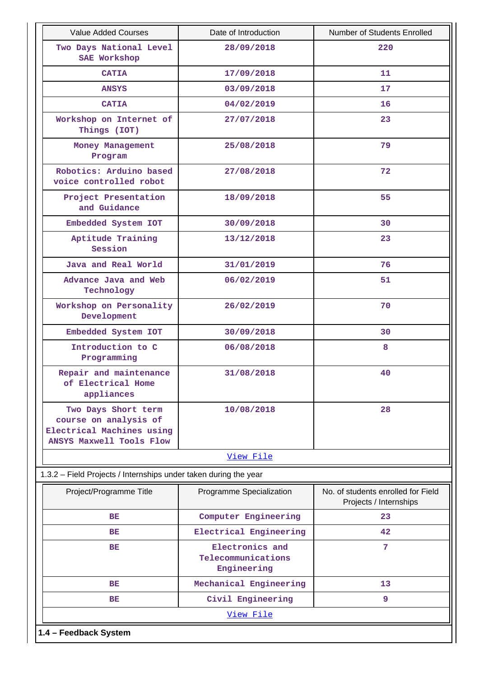| <b>Value Added Courses</b>                                                                            | Date of Introduction                                 | Number of Students Enrolled                                  |
|-------------------------------------------------------------------------------------------------------|------------------------------------------------------|--------------------------------------------------------------|
| Two Days National Level<br>SAE Workshop                                                               | 28/09/2018                                           | 220                                                          |
| <b>CATIA</b>                                                                                          | 17/09/2018                                           | 11                                                           |
| ANSYS                                                                                                 | 03/09/2018                                           | 17                                                           |
| <b>CATIA</b>                                                                                          | 04/02/2019                                           | 16                                                           |
| Workshop on Internet of<br>Things (IOT)                                                               | 27/07/2018                                           | 23                                                           |
| Money Management<br>Program                                                                           | 25/08/2018                                           | 79                                                           |
| Robotics: Arduino based<br>voice controlled robot                                                     | 27/08/2018                                           | 72                                                           |
| Project Presentation<br>and Guidance                                                                  | 18/09/2018                                           | 55                                                           |
| Embedded System IOT                                                                                   | 30/09/2018                                           | 30                                                           |
| Aptitude Training<br>Session                                                                          | 13/12/2018                                           | 23                                                           |
| Java and Real World                                                                                   | 31/01/2019                                           | 76                                                           |
| Advance Java and Web<br>Technology                                                                    | 06/02/2019                                           | 51                                                           |
| Workshop on Personality<br>Development                                                                | 26/02/2019                                           | 70                                                           |
| Embedded System IOT                                                                                   | 30/09/2018                                           | 30                                                           |
| Introduction to C<br>Programming                                                                      | 06/08/2018                                           | 8                                                            |
| Repair and maintenance<br>of Electrical Home<br>appliances                                            | 31/08/2018                                           | 40                                                           |
| Two Days Short term<br>course on analysis of<br>Electrical Machines using<br>ANSYS Maxwell Tools Flow | 10/08/2018                                           | 28                                                           |
|                                                                                                       | View File                                            |                                                              |
| 1.3.2 – Field Projects / Internships under taken during the year                                      |                                                      |                                                              |
| Project/Programme Title                                                                               | Programme Specialization                             | No. of students enrolled for Field<br>Projects / Internships |
| BE                                                                                                    | Computer Engineering                                 | 23                                                           |
| <b>BE</b>                                                                                             | Electrical Engineering                               | 42                                                           |
| <b>BE</b>                                                                                             | Electronics and<br>Telecommunications<br>Engineering | 7                                                            |
| BE                                                                                                    | Mechanical Engineering                               | 13                                                           |
| BE                                                                                                    | Civil Engineering                                    | 9                                                            |
|                                                                                                       | View File                                            |                                                              |
| 1.4 - Feedback System                                                                                 |                                                      |                                                              |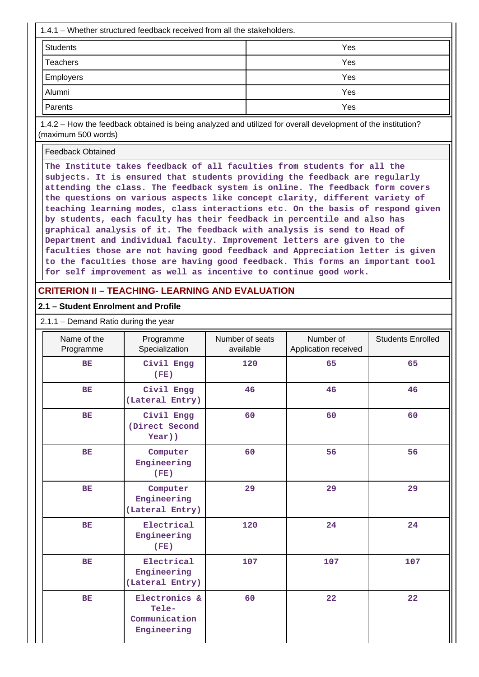| 1.4.1 – Whether structured feedback received from all the stakeholders. |     |
|-------------------------------------------------------------------------|-----|
| <b>Students</b>                                                         | Yes |
| <b>Teachers</b>                                                         | Yes |
| <b>Employers</b>                                                        | Yes |
| Alumni                                                                  | Yes |
| Parents                                                                 | Yes |

 1.4.2 – How the feedback obtained is being analyzed and utilized for overall development of the institution? (maximum 500 words)

Feedback Obtained

**The Institute takes feedback of all faculties from students for all the subjects. It is ensured that students providing the feedback are regularly attending the class. The feedback system is online. The feedback form covers the questions on various aspects like concept clarity, different variety of teaching learning modes, class interactions etc. On the basis of respond given by students, each faculty has their feedback in percentile and also has graphical analysis of it. The feedback with analysis is send to Head of Department and individual faculty. Improvement letters are given to the faculties those are not having good feedback and Appreciation letter is given to the faculties those are having good feedback. This forms an important tool for self improvement as well as incentive to continue good work.**

# **CRITERION II – TEACHING- LEARNING AND EVALUATION**

#### **2.1 – Student Enrolment and Profile**

2.1.1 – Demand Ratio during the year

| Name of the<br>Programme | Programme<br>Specialization                            | Number of seats<br>available | Number of<br>Application received | <b>Students Enrolled</b> |
|--------------------------|--------------------------------------------------------|------------------------------|-----------------------------------|--------------------------|
| BE                       | Civil Engg<br>(FE)                                     | 120                          | 65                                | 65                       |
| <b>BE</b>                | Civil Engg<br>(Lateral Entry)                          | 46                           | 46                                | 46                       |
| BE                       | Civil Engg<br>(Direct Second<br>Year))                 | 60                           | 60                                | 60                       |
| BE                       | Computer<br>Engineering<br>(FE)                        | 60                           | 56                                | 56                       |
| <b>BE</b>                | Computer<br>Engineering<br>(Lateral Entry)             | 29                           | 29                                | 29                       |
| BE                       | Electrical<br>Engineering<br>(FE)                      | 120                          | 24                                | 24                       |
| BE                       | Electrical<br>Engineering<br>(Lateral Entry)           | 107                          | 107                               | 107                      |
| BE                       | Electronics &<br>Tele-<br>Communication<br>Engineering | 60                           | 22                                | 22                       |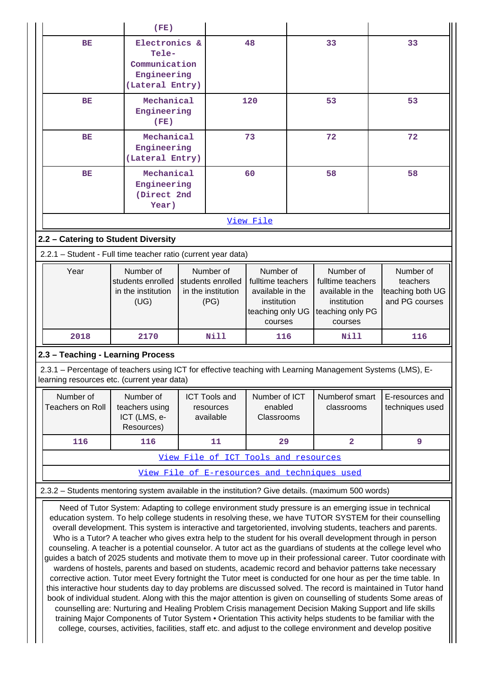|                                                                                                   | (FE)                                                                      |                                                              |                                                                                                  |                                                                                                  |                                                                                                            |
|---------------------------------------------------------------------------------------------------|---------------------------------------------------------------------------|--------------------------------------------------------------|--------------------------------------------------------------------------------------------------|--------------------------------------------------------------------------------------------------|------------------------------------------------------------------------------------------------------------|
| BE                                                                                                | Electronics &<br>Tele-<br>Communication<br>Engineering<br>(Lateral Entry) |                                                              | 48                                                                                               | 33                                                                                               | 33                                                                                                         |
| <b>BE</b>                                                                                         | Mechanical<br>Engineering<br>(FE)                                         |                                                              | 120                                                                                              | 53                                                                                               | 53                                                                                                         |
| <b>BE</b>                                                                                         | Mechanical<br>Engineering<br>(Lateral Entry)                              |                                                              | 73                                                                                               | 72                                                                                               | 72                                                                                                         |
| BE                                                                                                | Mechanical<br>Engineering<br>(Direct 2nd<br>Year)                         |                                                              | 60                                                                                               | 58                                                                                               | 58                                                                                                         |
|                                                                                                   |                                                                           |                                                              | View File                                                                                        |                                                                                                  |                                                                                                            |
| 2.2 - Catering to Student Diversity                                                               |                                                                           |                                                              |                                                                                                  |                                                                                                  |                                                                                                            |
| 2.2.1 - Student - Full time teacher ratio (current year data)                                     |                                                                           |                                                              |                                                                                                  |                                                                                                  |                                                                                                            |
| Year                                                                                              | Number of<br>students enrolled<br>in the institution<br>(UG)              | Number of<br>students enrolled<br>in the institution<br>(PG) | Number of<br>fulltime teachers<br>available in the<br>institution<br>teaching only UG<br>courses | Number of<br>fulltime teachers<br>available in the<br>institution<br>teaching only PG<br>courses | Number of<br>teachers<br>teaching both UG<br>and PG courses                                                |
| 2018                                                                                              | 2170                                                                      | <b>Nill</b>                                                  | 116                                                                                              | Nill                                                                                             | 116                                                                                                        |
| 2.3 - Teaching - Learning Process                                                                 |                                                                           |                                                              |                                                                                                  |                                                                                                  |                                                                                                            |
| learning resources etc. (current year data)                                                       |                                                                           |                                                              |                                                                                                  |                                                                                                  | 2.3.1 – Percentage of teachers using ICT for effective teaching with Learning Management Systems (LMS), E- |
| Number of<br><b>Teachers on Roll</b>                                                              | Number of<br>teachers using<br>ICT (LMS, e-<br>Resources)                 | <b>ICT Tools and</b><br>resources<br>available               | Number of ICT<br>enabled<br>Classrooms                                                           | Numberof smart<br>classrooms                                                                     | E-resources and<br>techniques used                                                                         |
|                                                                                                   |                                                                           |                                                              |                                                                                                  |                                                                                                  |                                                                                                            |
| 116                                                                                               | 116                                                                       | 11                                                           | 29                                                                                               | $\overline{\mathbf{2}}$                                                                          | 9                                                                                                          |
|                                                                                                   |                                                                           |                                                              | View File of ICT Tools and resources                                                             |                                                                                                  |                                                                                                            |
|                                                                                                   |                                                                           |                                                              |                                                                                                  | View File of E-resources and techniques used                                                     |                                                                                                            |
| 2.3.2 - Students mentoring system available in the institution? Give details. (maximum 500 words) |                                                                           |                                                              |                                                                                                  |                                                                                                  |                                                                                                            |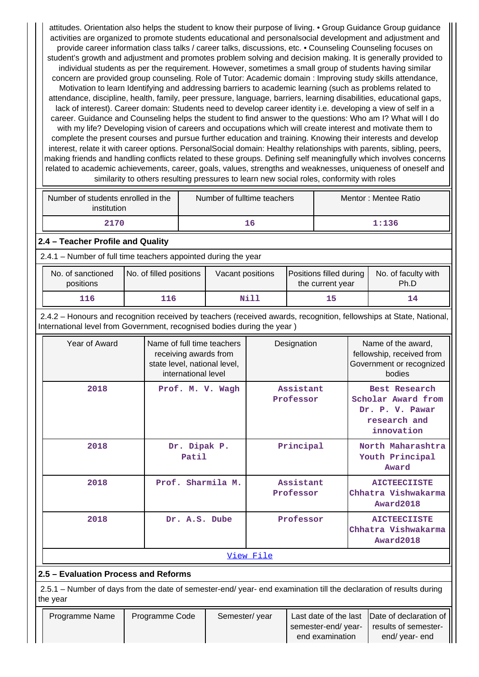attitudes. Orientation also helps the student to know their purpose of living. • Group Guidance Group guidance activities are organized to promote students educational and personalsocial development and adjustment and provide career information class talks / career talks, discussions, etc. • Counseling Counseling focuses on student's growth and adjustment and promotes problem solving and decision making. It is generally provided to individual students as per the requirement. However, sometimes a small group of students having similar concern are provided group counseling. Role of Tutor: Academic domain : Improving study skills attendance, Motivation to learn Identifying and addressing barriers to academic learning (such as problems related to attendance, discipline, health, family, peer pressure, language, barriers, learning disabilities, educational gaps, lack of interest). Career domain: Students need to develop career identity i.e. developing a view of self in a career. Guidance and Counseling helps the student to find answer to the questions: Who am I? What will I do with my life? Developing vision of careers and occupations which will create interest and motivate them to complete the present courses and pursue further education and training. Knowing their interests and develop interest, relate it with career options. PersonalSocial domain: Healthy relationships with parents, sibling, peers, making friends and handling conflicts related to these groups. Defining self meaningfully which involves concerns related to academic achievements, career, goals, values, strengths and weaknesses, uniqueness of oneself and similarity to others resulting pressures to learn new social roles, conformity with roles

| Number of students enrolled in the<br>institution | Number of fulltime teachers | Mentor: Mentee Ratio |  |  |
|---------------------------------------------------|-----------------------------|----------------------|--|--|
| 2170                                              | 16                          | 1:136                |  |  |

### **2.4 – Teacher Profile and Quality**

2.4.1 – Number of full time teachers appointed during the year

| No. of sanctioned<br>positions | No. of filled positions | Vacant positions | Positions filled during<br>the current year | No. of faculty with<br>Ph.D |
|--------------------------------|-------------------------|------------------|---------------------------------------------|-----------------------------|
| 116                            | l16                     | Nill             |                                             |                             |

 2.4.2 – Honours and recognition received by teachers (received awards, recognition, fellowships at State, National, International level from Government, recognised bodies during the year )

| Year of Award | Name of full time teachers<br>receiving awards from<br>state level, national level,<br>international level | Designation            | Name of the award,<br>fellowship, received from<br>Government or recognized<br>bodies |  |  |  |  |  |  |
|---------------|------------------------------------------------------------------------------------------------------------|------------------------|---------------------------------------------------------------------------------------|--|--|--|--|--|--|
| 2018          | Prof. M. V. Wagh                                                                                           | Assistant<br>Professor | Best Research<br>Scholar Award from<br>Dr. P. V. Pawar<br>research and<br>innovation  |  |  |  |  |  |  |
| 2018          | Dr. Dipak P.<br>Patil                                                                                      | Principal              | North Maharashtra<br>Youth Principal<br>Award                                         |  |  |  |  |  |  |
| 2018          | Prof. Sharmila M.                                                                                          | Assistant<br>Professor | <b>AICTEECIISTE</b><br>Chhatra Vishwakarma<br>Award2018                               |  |  |  |  |  |  |
| 2018          | Dr. A.S. Dube                                                                                              | Professor              | <b>AICTEECIISTE</b><br>Chhatra Vishwakarma<br>Award2018                               |  |  |  |  |  |  |
|               | View File                                                                                                  |                        |                                                                                       |  |  |  |  |  |  |

# **2.5 – Evaluation Process and Reforms**

 2.5.1 – Number of days from the date of semester-end/ year- end examination till the declaration of results during the year

| Programme Name | Programme Code | Semester/year |                     | Last date of the last  Date of declaration of |
|----------------|----------------|---------------|---------------------|-----------------------------------------------|
|                |                |               | semester-end/ year- | results of semester-                          |
|                |                |               | end examination     | end/ year- end                                |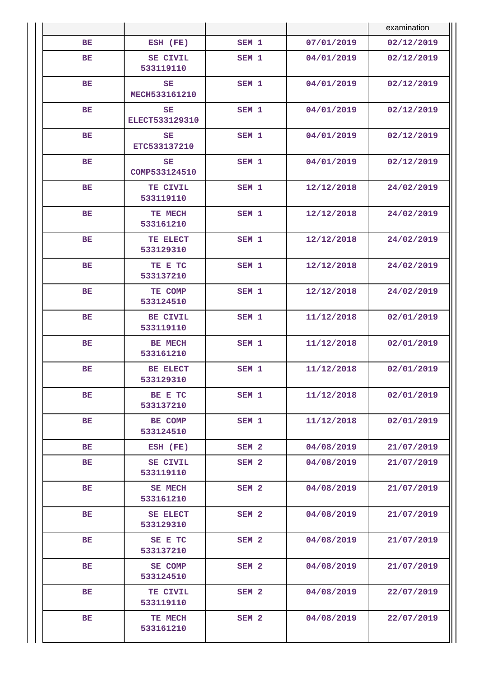|           |                              |                  |            | examination |
|-----------|------------------------------|------------------|------------|-------------|
| BE        | ESH (FE)                     | SEM <sub>1</sub> | 07/01/2019 | 02/12/2019  |
| BE        | <b>SE CIVIL</b><br>533119110 | SEM <sub>1</sub> | 04/01/2019 | 02/12/2019  |
| BE        | <b>SE</b><br>MECH533161210   | SEM <sub>1</sub> | 04/01/2019 | 02/12/2019  |
| BE        | SE<br>ELECT533129310         | SEM <sub>1</sub> | 04/01/2019 | 02/12/2019  |
| <b>BE</b> | SE<br>ETC533137210           | SEM <sub>1</sub> | 04/01/2019 | 02/12/2019  |
| BE        | SE<br>COMP533124510          | SEM 1            | 04/01/2019 | 02/12/2019  |
| BE        | TE CIVIL<br>533119110        | SEM <sub>1</sub> | 12/12/2018 | 24/02/2019  |
| BE        | TE MECH<br>533161210         | SEM <sub>1</sub> | 12/12/2018 | 24/02/2019  |
| <b>BE</b> | TE ELECT<br>533129310        | SEM <sub>1</sub> | 12/12/2018 | 24/02/2019  |
| BE        | TE E TC<br>533137210         | SEM <sub>1</sub> | 12/12/2018 | 24/02/2019  |
| BE        | TE COMP<br>533124510         | SEM <sub>1</sub> | 12/12/2018 | 24/02/2019  |
| BE        | BE CIVIL<br>533119110        | SEM <sub>1</sub> | 11/12/2018 | 02/01/2019  |
| <b>BE</b> | BE MECH<br>533161210         | SEM <sub>1</sub> | 11/12/2018 | 02/01/2019  |
| BE        | BE ELECT<br>533129310        | SEM <sub>1</sub> | 11/12/2018 | 02/01/2019  |
| <b>BE</b> | BE E TC<br>533137210         | SEM <sub>1</sub> | 11/12/2018 | 02/01/2019  |
| BE        | BE COMP<br>533124510         | SEM <sub>1</sub> | 11/12/2018 | 02/01/2019  |
| BЕ        | ESH (FE)                     | SEM <sub>2</sub> | 04/08/2019 | 21/07/2019  |
| <b>BE</b> | SE CIVIL<br>533119110        | SEM <sub>2</sub> | 04/08/2019 | 21/07/2019  |
| BE        | <b>SE MECH</b><br>533161210  | SEM <sub>2</sub> | 04/08/2019 | 21/07/2019  |
| <b>BE</b> | <b>SE ELECT</b><br>533129310 | SEM <sub>2</sub> | 04/08/2019 | 21/07/2019  |
| BE        | SE E TC<br>533137210         | SEM <sub>2</sub> | 04/08/2019 | 21/07/2019  |
| BE        | <b>SE COMP</b><br>533124510  | SEM <sub>2</sub> | 04/08/2019 | 21/07/2019  |
| BЕ        | TE CIVIL<br>533119110        | SEM <sub>2</sub> | 04/08/2019 | 22/07/2019  |
| BE        | TE MECH<br>533161210         | SEM <sub>2</sub> | 04/08/2019 | 22/07/2019  |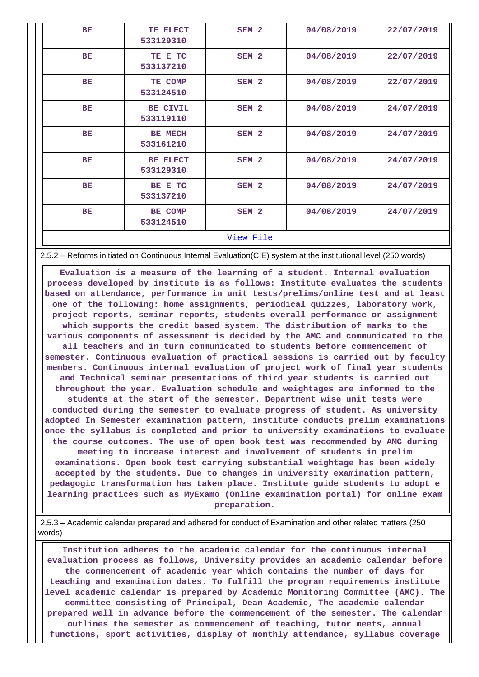| <b>BE</b>        | TE ELECT<br>533129310        | SEM <sub>2</sub> | 04/08/2019 | 22/07/2019 |  |  |  |
|------------------|------------------------------|------------------|------------|------------|--|--|--|
| BE               | TE E TC<br>533137210         | SEM <sub>2</sub> | 04/08/2019 | 22/07/2019 |  |  |  |
| <b>BE</b>        | TE COMP<br>533124510         | SEM <sub>2</sub> | 04/08/2019 | 22/07/2019 |  |  |  |
| BE               | BE CIVIL<br>533119110        | SEM <sub>2</sub> | 04/08/2019 | 24/07/2019 |  |  |  |
| <b>BE</b>        | <b>BE MECH</b><br>533161210  | SEM <sub>2</sub> | 04/08/2019 | 24/07/2019 |  |  |  |
| <b>BE</b>        | <b>BE ELECT</b><br>533129310 | SEM <sub>2</sub> | 04/08/2019 | 24/07/2019 |  |  |  |
| BE               | BE E TC<br>533137210         | SEM <sub>2</sub> | 04/08/2019 | 24/07/2019 |  |  |  |
| <b>BE</b>        | <b>BE COMP</b><br>533124510  | SEM <sub>2</sub> | 04/08/2019 | 24/07/2019 |  |  |  |
| <u>View File</u> |                              |                  |            |            |  |  |  |

2.5.2 – Reforms initiated on Continuous Internal Evaluation(CIE) system at the institutional level (250 words)

 **Evaluation is a measure of the learning of a student. Internal evaluation process developed by institute is as follows: Institute evaluates the students based on attendance, performance in unit tests/prelims/online test and at least one of the following: home assignments, periodical quizzes, laboratory work, project reports, seminar reports, students overall performance or assignment which supports the credit based system. The distribution of marks to the various components of assessment is decided by the AMC and communicated to the all teachers and in turn communicated to students before commencement of semester. Continuous evaluation of practical sessions is carried out by faculty members. Continuous internal evaluation of project work of final year students and Technical seminar presentations of third year students is carried out throughout the year. Evaluation schedule and weightages are informed to the students at the start of the semester. Department wise unit tests were conducted during the semester to evaluate progress of student. As university adopted In Semester examination pattern, institute conducts prelim examinations once the syllabus is completed and prior to university examinations to evaluate the course outcomes. The use of open book test was recommended by AMC during meeting to increase interest and involvement of students in prelim examinations. Open book test carrying substantial weightage has been widely accepted by the students. Due to changes in university examination pattern, pedagogic transformation has taken place. Institute guide students to adopt e learning practices such as MyExamo (Online examination portal) for online exam**

**preparation.**

 2.5.3 – Academic calendar prepared and adhered for conduct of Examination and other related matters (250 words)

 **Institution adheres to the academic calendar for the continuous internal evaluation process as follows, University provides an academic calendar before the commencement of academic year which contains the number of days for teaching and examination dates. To fulfill the program requirements institute level academic calendar is prepared by Academic Monitoring Committee (AMC). The committee consisting of Principal, Dean Academic, The academic calendar prepared well in advance before the commencement of the semester. The calendar outlines the semester as commencement of teaching, tutor meets, annual functions, sport activities, display of monthly attendance, syllabus coverage**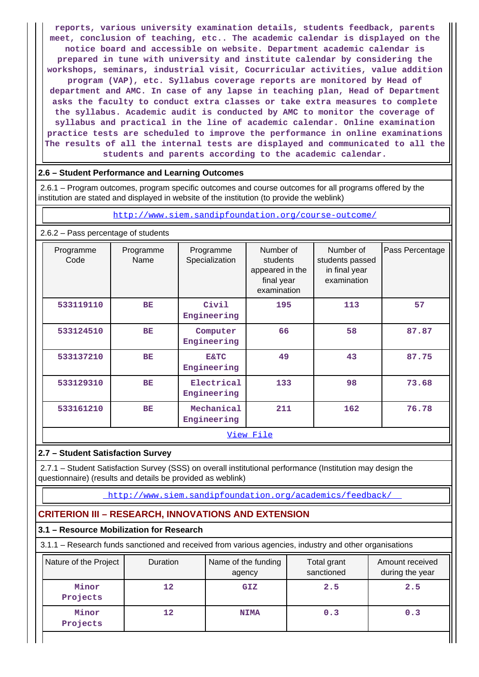**reports, various university examination details, students feedback, parents meet, conclusion of teaching, etc.. The academic calendar is displayed on the notice board and accessible on website. Department academic calendar is prepared in tune with university and institute calendar by considering the workshops, seminars, industrial visit, Cocurricular activities, value addition program (VAP), etc. Syllabus coverage reports are monitored by Head of department and AMC. In case of any lapse in teaching plan, Head of Department asks the faculty to conduct extra classes or take extra measures to complete the syllabus. Academic audit is conducted by AMC to monitor the coverage of syllabus and practical in the line of academic calendar. Online examination practice tests are scheduled to improve the performance in online examinations The results of all the internal tests are displayed and communicated to all the students and parents according to the academic calendar.**

### **2.6 – Student Performance and Learning Outcomes**

 2.6.1 – Program outcomes, program specific outcomes and course outcomes for all programs offered by the institution are stated and displayed in website of the institution (to provide the weblink)

<http://www.siem.sandipfoundation.org/course-outcome/>

| 2.6.2 - Pass percentage of students |                   |                                |                                                                       |                                                              |                 |  |  |  |
|-------------------------------------|-------------------|--------------------------------|-----------------------------------------------------------------------|--------------------------------------------------------------|-----------------|--|--|--|
| Programme<br>Code                   | Programme<br>Name | Programme<br>Specialization    | Number of<br>students<br>appeared in the<br>final year<br>examination | Number of<br>students passed<br>in final year<br>examination | Pass Percentage |  |  |  |
| 533119110                           | BE                | Civil<br>Engineering           | 195                                                                   | 113                                                          | 57              |  |  |  |
| 533124510                           | BE                | Computer<br>Engineering        | 66                                                                    | 58                                                           | 87.87           |  |  |  |
| 533137210                           | <b>BE</b>         | <b>E&amp;TC</b><br>Engineering | 49                                                                    | 43                                                           | 87.75           |  |  |  |
| 533129310                           | <b>BE</b>         | Electrical<br>Engineering      | 133                                                                   | 98                                                           | 73.68           |  |  |  |
| 533161210                           | BE                | Mechanical<br>Engineering      | 211                                                                   | 162                                                          | 76.78           |  |  |  |
|                                     |                   |                                | <u>View File</u>                                                      |                                                              |                 |  |  |  |

# **2.7 – Student Satisfaction Survey**

 2.7.1 – Student Satisfaction Survey (SSS) on overall institutional performance (Institution may design the questionnaire) (results and details be provided as weblink)

<http://www.siem.sandipfoundation.org/academics/feedback/>

# **CRITERION III – RESEARCH, INNOVATIONS AND EXTENSION**

### **3.1 – Resource Mobilization for Research**

3.1.1 – Research funds sanctioned and received from various agencies, industry and other organisations

| Nature of the Project | Duration | Name of the funding<br>agency | Total grant<br>sanctioned | Amount received<br>during the year |
|-----------------------|----------|-------------------------------|---------------------------|------------------------------------|
| Minor<br>Projects     | 12       | <b>GIZ</b>                    | 2.5                       | 2.5                                |
| Minor<br>Projects     | 12       | <b>NIMA</b>                   | 0.3                       | 0.3                                |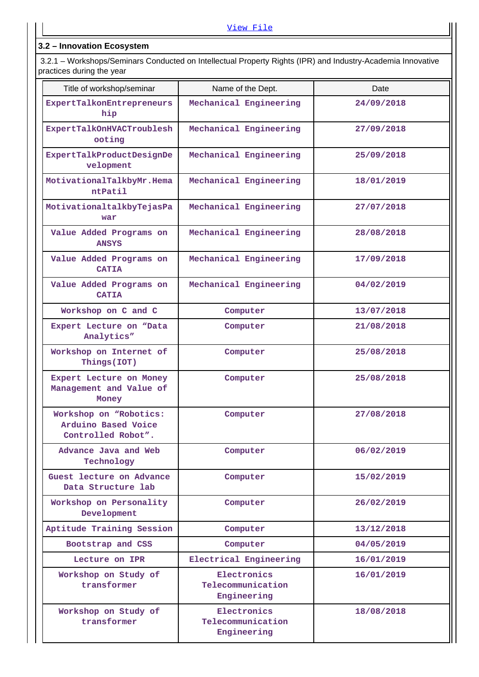# **3.2 – Innovation Ecosystem**

 3.2.1 – Workshops/Seminars Conducted on Intellectual Property Rights (IPR) and Industry-Academia Innovative practices during the year

| Title of workshop/seminar                                           | Name of the Dept.                               | Date       |
|---------------------------------------------------------------------|-------------------------------------------------|------------|
| ExpertTalkonEntrepreneurs<br>hip                                    | Mechanical Engineering                          | 24/09/2018 |
| ExpertTalkOnHVACTroublesh<br>ooting                                 | Mechanical Engineering                          | 27/09/2018 |
| ExpertTalkProductDesignDe<br>velopment                              | Mechanical Engineering                          | 25/09/2018 |
| MotivationalTalkbyMr.Hema<br>ntPatil                                | Mechanical Engineering                          | 18/01/2019 |
| MotivationaltalkbyTejasPa<br>war                                    | Mechanical Engineering                          | 27/07/2018 |
| Value Added Programs on<br><b>ANSYS</b>                             | Mechanical Engineering                          | 28/08/2018 |
| Value Added Programs on<br><b>CATIA</b>                             | Mechanical Engineering                          | 17/09/2018 |
| Value Added Programs on<br><b>CATIA</b>                             | Mechanical Engineering                          | 04/02/2019 |
| Workshop on C and C                                                 | Computer                                        | 13/07/2018 |
| Expert Lecture on "Data<br>Analytics"                               | Computer                                        | 21/08/2018 |
| Workshop on Internet of<br>Things (IOT)                             | Computer                                        | 25/08/2018 |
| Expert Lecture on Money<br>Management and Value of<br>Money         | Computer                                        | 25/08/2018 |
| Workshop on "Robotics:<br>Arduino Based Voice<br>Controlled Robot". | Computer                                        | 27/08/2018 |
| Advance Java and Web<br>Technology                                  | Computer                                        | 06/02/2019 |
| Guest lecture on Advance<br>Data Structure lab                      | Computer                                        | 15/02/2019 |
| Workshop on Personality<br>Development                              | Computer                                        | 26/02/2019 |
| Aptitude Training Session                                           | Computer                                        | 13/12/2018 |
| Bootstrap and CSS                                                   | Computer                                        | 04/05/2019 |
| Lecture on IPR                                                      | Electrical Engineering                          | 16/01/2019 |
| Workshop on Study of<br>transformer                                 | Electronics<br>Telecommunication<br>Engineering | 16/01/2019 |
| Workshop on Study of<br>transformer                                 | Electronics<br>Telecommunication<br>Engineering | 18/08/2018 |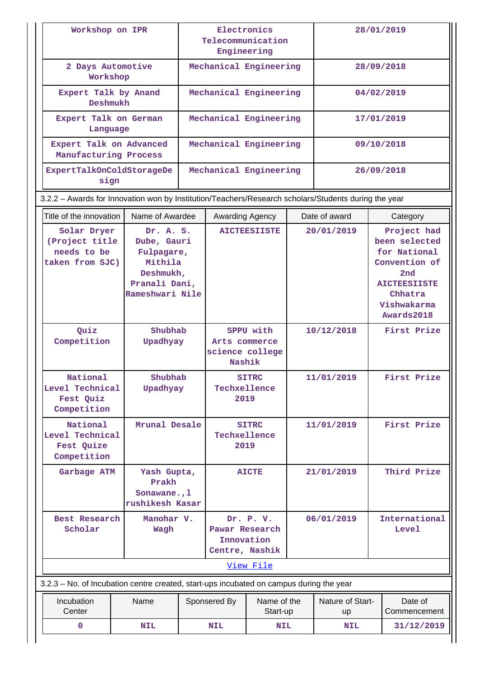| Workshop on IPR                                                                                      |                                                                                                    | Electronics<br>Telecommunication<br>Engineering         |                                                             |                         | 28/01/2019 |                        |                                                                                                                                     |                         |
|------------------------------------------------------------------------------------------------------|----------------------------------------------------------------------------------------------------|---------------------------------------------------------|-------------------------------------------------------------|-------------------------|------------|------------------------|-------------------------------------------------------------------------------------------------------------------------------------|-------------------------|
|                                                                                                      | 2 Days Automotive<br>Workshop                                                                      |                                                         | Mechanical Engineering                                      |                         | 28/09/2018 |                        |                                                                                                                                     |                         |
| Expert Talk by Anand<br>Deshmukh                                                                     |                                                                                                    |                                                         | Mechanical Engineering                                      |                         |            | 04/02/2019             |                                                                                                                                     |                         |
| Expert Talk on German<br>Language                                                                    |                                                                                                    |                                                         | Mechanical Engineering                                      |                         |            | 17/01/2019             |                                                                                                                                     |                         |
| Expert Talk on Advanced<br>Manufacturing Process                                                     |                                                                                                    |                                                         | Mechanical Engineering                                      |                         |            |                        |                                                                                                                                     | 09/10/2018              |
| ExpertTalkOnColdStorageDe<br>sign                                                                    |                                                                                                    |                                                         | Mechanical Engineering                                      |                         |            |                        |                                                                                                                                     | 26/09/2018              |
| 3.2.2 - Awards for Innovation won by Institution/Teachers/Research scholars/Students during the year |                                                                                                    |                                                         |                                                             |                         |            |                        |                                                                                                                                     |                         |
| Title of the innovation                                                                              | Name of Awardee                                                                                    |                                                         | Awarding Agency                                             |                         |            | Date of award          |                                                                                                                                     | Category                |
| Solar Dryer<br>(Project title<br>needs to be<br>taken from SJC)                                      | Dr. A. S.<br>Dube, Gauri<br>Fulpagare,<br>Mithila<br>Deshmukh,<br>Pranali Dani,<br>Rameshwari Nile |                                                         |                                                             | <b>AICTEESIISTE</b>     | 20/01/2019 |                        | Project had<br>been selected<br>for National<br>Convention of<br>2nd<br><b>AICTEESIISTE</b><br>Chhatra<br>Vishwakarma<br>Awards2018 |                         |
| Quiz<br>Competition                                                                                  | Shubhab<br>Upadhyay                                                                                | SPPU with<br>Arts commerce<br>science college<br>Nashik |                                                             | 10/12/2018              |            |                        | First Prize                                                                                                                         |                         |
| National<br>Level Technical<br>Fest Quiz<br>Competition                                              | Shubhab<br>Upadhyay                                                                                |                                                         | Techxellence<br>2019                                        | <b>SITRC</b>            |            | 11/01/2019             |                                                                                                                                     | First Prize             |
| National<br>Level Technical<br>Fest Quize<br>Competition                                             | Mrunal Desale                                                                                      |                                                         | Techxellence<br>2019                                        | <b>SITRC</b>            |            | 11/01/2019             |                                                                                                                                     | First Prize             |
| Garbage ATM                                                                                          | Yash Gupta,<br>Prakh<br>Sonawane., 1<br>rushikesh Kasar                                            |                                                         |                                                             | <b>AICTE</b>            |            | 21/01/2019             |                                                                                                                                     | Third Prize             |
| Best Research<br>Scholar                                                                             | Manohar V.<br>Wagh                                                                                 |                                                         | Dr. P. V.<br>Pawar Research<br>Innovation<br>Centre, Nashik |                         | 06/01/2019 |                        |                                                                                                                                     | International<br>Level  |
|                                                                                                      |                                                                                                    |                                                         |                                                             | View File               |            |                        |                                                                                                                                     |                         |
| 3.2.3 - No. of Incubation centre created, start-ups incubated on campus during the year              |                                                                                                    |                                                         |                                                             |                         |            |                        |                                                                                                                                     |                         |
| Incubation<br>Center                                                                                 | Name                                                                                               |                                                         | Sponsered By                                                | Name of the<br>Start-up |            | Nature of Start-<br>up |                                                                                                                                     | Date of<br>Commencement |
| 0                                                                                                    | <b>NIL</b>                                                                                         |                                                         | <b>NIL</b>                                                  | <b>NIL</b>              |            | <b>NIL</b>             |                                                                                                                                     | 31/12/2019              |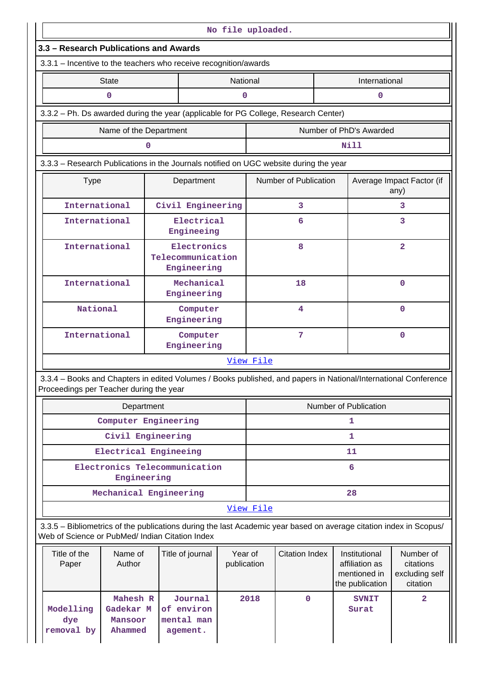| No file uploaded.                                                                                                                                                     |                                                                  |                                     |                        |                       |                       |                                                                    |                                                      |  |  |
|-----------------------------------------------------------------------------------------------------------------------------------------------------------------------|------------------------------------------------------------------|-------------------------------------|------------------------|-----------------------|-----------------------|--------------------------------------------------------------------|------------------------------------------------------|--|--|
| 3.3 - Research Publications and Awards                                                                                                                                |                                                                  |                                     |                        |                       |                       |                                                                    |                                                      |  |  |
| 3.3.1 - Incentive to the teachers who receive recognition/awards                                                                                                      |                                                                  |                                     |                        |                       |                       |                                                                    |                                                      |  |  |
| <b>State</b>                                                                                                                                                          |                                                                  |                                     |                        | National              |                       | International                                                      |                                                      |  |  |
| $\mathbf 0$                                                                                                                                                           |                                                                  |                                     |                        | $\mathbf 0$           |                       | $\mathbf 0$                                                        |                                                      |  |  |
| 3.3.2 - Ph. Ds awarded during the year (applicable for PG College, Research Center)                                                                                   |                                                                  |                                     |                        |                       |                       |                                                                    |                                                      |  |  |
|                                                                                                                                                                       | Name of the Department                                           |                                     |                        |                       |                       | Number of PhD's Awarded                                            |                                                      |  |  |
|                                                                                                                                                                       | 0                                                                |                                     |                        |                       |                       | Nill                                                               |                                                      |  |  |
| 3.3.3 - Research Publications in the Journals notified on UGC website during the year                                                                                 |                                                                  |                                     |                        |                       |                       |                                                                    |                                                      |  |  |
| <b>Type</b>                                                                                                                                                           |                                                                  | Department                          |                        |                       | Number of Publication |                                                                    | Average Impact Factor (if<br>any)                    |  |  |
| International                                                                                                                                                         |                                                                  | Civil Engineering                   |                        |                       | 3                     |                                                                    | 3                                                    |  |  |
| International                                                                                                                                                         |                                                                  | Electrical<br>Engineeing            |                        |                       | 6                     |                                                                    | 3                                                    |  |  |
|                                                                                                                                                                       | Electronics<br>International<br>Telecommunication<br>Engineering |                                     |                        |                       | 8                     |                                                                    | $\overline{2}$                                       |  |  |
| International                                                                                                                                                         |                                                                  | Mechanical<br>Engineering           |                        |                       | 18                    |                                                                    | 0                                                    |  |  |
| National                                                                                                                                                              |                                                                  | Computer<br>Engineering             |                        |                       | 4                     |                                                                    | 0                                                    |  |  |
| International                                                                                                                                                         |                                                                  | Computer<br>Engineering             |                        |                       | 7                     |                                                                    | 0                                                    |  |  |
|                                                                                                                                                                       |                                                                  |                                     |                        | View File             |                       |                                                                    |                                                      |  |  |
| 3.3.4 - Books and Chapters in edited Volumes / Books published, and papers in National/International Conference<br>Proceedings per Teacher during the year            |                                                                  |                                     |                        |                       |                       |                                                                    |                                                      |  |  |
|                                                                                                                                                                       | Department                                                       |                                     |                        |                       |                       | Number of Publication                                              |                                                      |  |  |
|                                                                                                                                                                       | Computer Engineering                                             |                                     |                        |                       |                       | 1                                                                  |                                                      |  |  |
|                                                                                                                                                                       | Civil Engineering                                                |                                     |                        |                       |                       | 1                                                                  |                                                      |  |  |
|                                                                                                                                                                       | Electrical Engineeing                                            |                                     |                        |                       |                       | 11                                                                 |                                                      |  |  |
|                                                                                                                                                                       | Engineering                                                      | Electronics Telecommunication       |                        |                       |                       | 6                                                                  |                                                      |  |  |
|                                                                                                                                                                       | Mechanical Engineering                                           |                                     |                        |                       |                       | 28                                                                 |                                                      |  |  |
|                                                                                                                                                                       |                                                                  |                                     |                        | View File             |                       |                                                                    |                                                      |  |  |
| 3.3.5 - Bibliometrics of the publications during the last Academic year based on average citation index in Scopus/<br>Web of Science or PubMed/ Indian Citation Index |                                                                  |                                     |                        |                       |                       |                                                                    |                                                      |  |  |
| Title of the<br>Paper                                                                                                                                                 | Name of<br>Author                                                | Title of journal                    | Year of<br>publication | <b>Citation Index</b> |                       | Institutional<br>affiliation as<br>mentioned in<br>the publication | Number of<br>citations<br>excluding self<br>citation |  |  |
| Modelling<br>dye                                                                                                                                                      | Mahesh R<br>Gadekar M<br>Mansoor                                 | Journal<br>of environ<br>mental man |                        | 2018                  | $\mathbf 0$           | <b>SVNIT</b><br>Surat                                              | 2                                                    |  |  |

**removal by**

**Ahammed**

**agement.**

 $\parallel \parallel$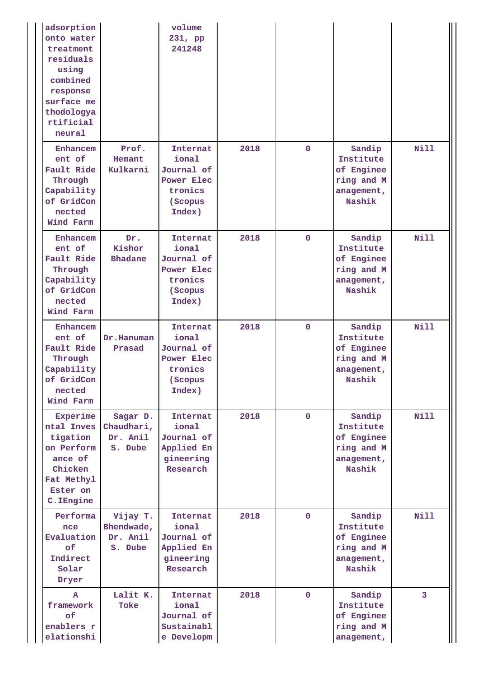| adsorption<br>onto water<br>treatment<br>residuals<br>using<br>combined<br>response<br>surface me<br>thodologya<br>rtificial<br>neural |                                               | volume<br>231, pp<br>241248                                                          |      |              |                                                                         |                |
|----------------------------------------------------------------------------------------------------------------------------------------|-----------------------------------------------|--------------------------------------------------------------------------------------|------|--------------|-------------------------------------------------------------------------|----------------|
| Enhancem<br>ent of<br>Fault Ride<br>Through<br>Capability<br>of GridCon<br>nected<br>Wind Farm                                         | Prof.<br>Hemant<br>Kulkarni                   | Internat<br>ional<br>Journal of<br>Power Elec<br>tronics<br>(Scopus<br>Index)        | 2018 | $\mathbf 0$  | Sandip<br>Institute<br>of Enginee<br>ring and M<br>anagement,<br>Nashik | <b>Nill</b>    |
| Enhancem<br>ent of<br>Fault Ride<br>Through<br>Capability<br>of GridCon<br>nected<br>Wind Farm                                         | Dr.<br>Kishor<br><b>Bhadane</b>               | Internat<br>ional<br>Journal of<br>Power Elec<br>tronics<br>(Scopus<br>Index)        | 2018 | $\mathbf 0$  | Sandip<br>Institute<br>of Enginee<br>ring and M<br>anagement,<br>Nashik | <b>Nill</b>    |
| Enhancem<br>ent of<br>Fault Ride<br>Through<br>Capability<br>of GridCon<br>nected<br>Wind Farm                                         | Dr.Hanuman<br>Prasad                          | Internat<br>ional<br>Journal of<br><b>Power Elec</b><br>tronics<br>(Scopus<br>Index) | 2018 | $\mathbf 0$  | Sandip<br>Institute<br>of Enginee<br>ring and M<br>anagement,<br>Nashik | <b>Nill</b>    |
| Experime<br>ntal Inves<br>tigation<br>on Perform<br>ance of<br>Chicken<br>Fat Methyl<br>Ester on<br>C. IEngine                         | Sagar D.<br>Chaudhari,<br>Dr. Anil<br>S. Dube | Internat<br>ional<br>Journal of<br>Applied En<br>gineering<br>Research               | 2018 | $\mathbf{0}$ | Sandip<br>Institute<br>of Enginee<br>ring and M<br>anagement,<br>Nashik | <b>Nill</b>    |
| Performa<br>nce<br>Evaluation<br><b>of</b><br>Indirect<br>Solar<br>Dryer                                                               | Vijay T.<br>Bhendwade,<br>Dr. Anil<br>S. Dube | Internat<br>ional<br>Journal of<br>Applied En<br>gineering<br>Research               | 2018 | $\mathbf 0$  | Sandip<br>Institute<br>of Enginee<br>ring and M<br>anagement,<br>Nashik | Nill           |
| A<br>framework<br>of<br>enablers r<br>elationshi                                                                                       | Lalit K.<br>Toke                              | Internat<br>ional<br>Journal of<br>Sustainabl<br>e Developm                          | 2018 | $\mathbf{0}$ | Sandip<br>Institute<br>of Enginee<br>ring and M<br>anagement,           | $\overline{3}$ |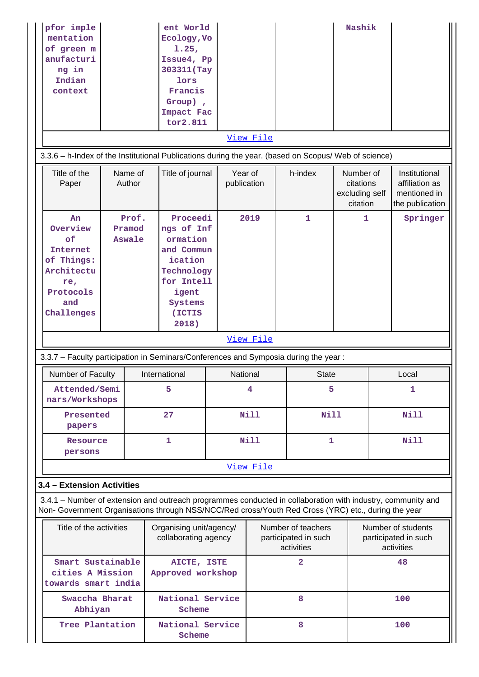| pfor imple<br>mentation<br>of green m<br>anufacturi<br>ng in<br>Indian<br>context                                                                                                                                                                |                                                                            |                   | ent World<br>Ecology, Vo<br>1.25,<br>Issue4, Pp<br>303311 (Tay<br>lors<br>Francis<br>Group),<br>Impact Fac<br>tor2.811         |                        |                                                          |              | Nashik                                               |                                                          |                                                                    |
|--------------------------------------------------------------------------------------------------------------------------------------------------------------------------------------------------------------------------------------------------|----------------------------------------------------------------------------|-------------------|--------------------------------------------------------------------------------------------------------------------------------|------------------------|----------------------------------------------------------|--------------|------------------------------------------------------|----------------------------------------------------------|--------------------------------------------------------------------|
| 3.3.6 - h-Index of the Institutional Publications during the year. (based on Scopus/ Web of science)                                                                                                                                             |                                                                            |                   |                                                                                                                                |                        | View File                                                |              |                                                      |                                                          |                                                                    |
| Title of the<br>Paper                                                                                                                                                                                                                            |                                                                            | Name of<br>Author | Title of journal                                                                                                               | Year of<br>publication |                                                          | h-index      | Number of<br>citations<br>excluding self<br>citation |                                                          | Institutional<br>affiliation as<br>mentioned in<br>the publication |
| An<br>Overview<br>of<br><b>Internet</b><br>of Things:<br>Architectu<br>re,<br>Protocols<br>and<br>Challenges                                                                                                                                     | Prof.<br>Pramod<br>Aswale                                                  |                   | Proceedi<br>ngs of Inf<br>ormation<br>and Commun<br>ication<br>Technology<br>for Intell<br>igent<br>Systems<br>(ICTIS<br>2018) |                        | 2019                                                     | $\mathbf{1}$ | 1                                                    |                                                          | Springer                                                           |
|                                                                                                                                                                                                                                                  | View File                                                                  |                   |                                                                                                                                |                        |                                                          |              |                                                      |                                                          |                                                                    |
| 3.3.7 - Faculty participation in Seminars/Conferences and Symposia during the year:                                                                                                                                                              |                                                                            |                   |                                                                                                                                |                        |                                                          |              |                                                      |                                                          |                                                                    |
| Number of Faculty                                                                                                                                                                                                                                |                                                                            |                   | International                                                                                                                  | National               |                                                          | <b>State</b> |                                                      |                                                          | Local                                                              |
| Attended/Semi<br>nars/Workshops                                                                                                                                                                                                                  |                                                                            |                   | 5                                                                                                                              |                        | 4                                                        | 5            |                                                      | 1                                                        |                                                                    |
| Presented<br>papers                                                                                                                                                                                                                              |                                                                            |                   | 27                                                                                                                             |                        | Nill                                                     | <b>Nill</b>  |                                                      |                                                          | <b>Nill</b>                                                        |
| Resource<br>persons                                                                                                                                                                                                                              |                                                                            |                   | 1                                                                                                                              |                        | Nill                                                     | 1            |                                                      |                                                          | <b>Nill</b>                                                        |
|                                                                                                                                                                                                                                                  |                                                                            |                   |                                                                                                                                |                        | View File                                                |              |                                                      |                                                          |                                                                    |
| 3.4 - Extension Activities<br>3.4.1 – Number of extension and outreach programmes conducted in collaboration with industry, community and<br>Non- Government Organisations through NSS/NCC/Red cross/Youth Red Cross (YRC) etc., during the year |                                                                            |                   |                                                                                                                                |                        |                                                          |              |                                                      |                                                          |                                                                    |
|                                                                                                                                                                                                                                                  | Title of the activities<br>Organising unit/agency/<br>collaborating agency |                   |                                                                                                                                |                        | Number of teachers<br>participated in such<br>activities |              |                                                      | Number of students<br>participated in such<br>activities |                                                                    |
| Smart Sustainable<br>cities A Mission<br>towards smart india                                                                                                                                                                                     |                                                                            |                   | AICTE, ISTE<br>Approved workshop                                                                                               |                        |                                                          | $\mathbf{2}$ |                                                      |                                                          | 48                                                                 |
| Swaccha Bharat<br>Abhiyan                                                                                                                                                                                                                        |                                                                            |                   | National Service<br>Scheme                                                                                                     |                        |                                                          | 8            |                                                      |                                                          | 100                                                                |
| Tree Plantation                                                                                                                                                                                                                                  |                                                                            |                   | National Service<br>Scheme                                                                                                     |                        |                                                          | 8            |                                                      |                                                          | 100                                                                |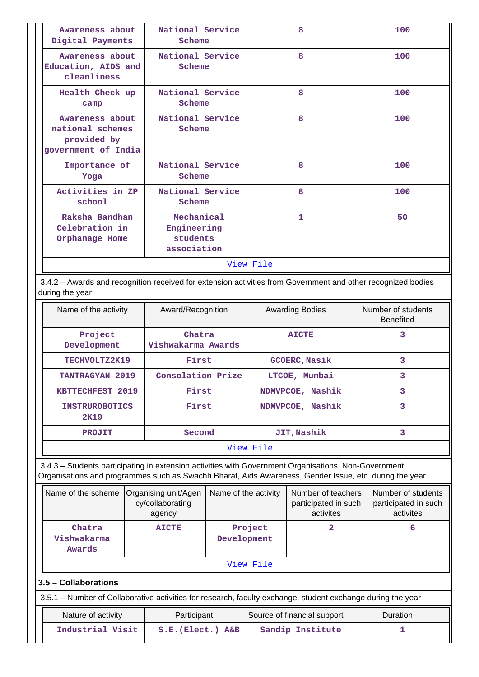| Awareness about<br>Digital Payments                                       | National Service<br>Scheme                           | 8         | 100 |
|---------------------------------------------------------------------------|------------------------------------------------------|-----------|-----|
| Awareness about<br>Education, AIDS and<br>cleanliness                     | National Service<br>Scheme                           | 8         | 100 |
| Health Check up<br>camp                                                   | National Service<br>Scheme                           | 8         | 100 |
| Awareness about<br>national schemes<br>provided by<br>government of India | National Service<br>Scheme                           | 8         | 100 |
| Importance of<br>Yoga                                                     | National Service<br>Scheme                           | 8         | 100 |
| Activities in ZP<br>school                                                | National Service<br>Scheme                           | 8         | 100 |
| Raksha Bandhan<br>Celebration in<br>Orphanage Home                        | Mechanical<br>Engineering<br>students<br>association | 1         | 50  |
|                                                                           |                                                      | View File |     |

 3.4.2 – Awards and recognition received for extension activities from Government and other recognized bodies during the year

| Name of the activity          | Award/Recognition            | <b>Awarding Bodies</b> | Number of students<br><b>Benefited</b> |
|-------------------------------|------------------------------|------------------------|----------------------------------------|
| Project<br>Development        | Chatra<br>Vishwakarma Awards | <b>AICTE</b>           | 3                                      |
| TECHVOLTZ2K19                 | First                        | <b>GCOERC, Nasik</b>   | з                                      |
| <b>TANTRAGYAN 2019</b>        | Consolation Prize            | LTCOE, Mumbai          | 3                                      |
| <b>KBTTECHFEST 2019</b>       | First                        | NDMVPCOE, Nashik       | 3                                      |
| <b>INSTRUROBOTICS</b><br>2K19 | First                        | NDMVPCOE, Nashik       | 3                                      |
| <b>PROJIT</b>                 | Second                       | JIT, Nashik            | 3                                      |
|                               |                              |                        |                                        |

#### [View File](https://assessmentonline.naac.gov.in/public/Postacc/Awards_for_extension/1972_Awards_for_extension_1580186099.xlsx)

 3.4.3 – Students participating in extension activities with Government Organisations, Non-Government Organisations and programmes such as Swachh Bharat, Aids Awareness, Gender Issue, etc. during the year

| Name of the scheme              | Organising unit/Agen<br>cy/collaborating<br>agency | Name of the activity   | Number of teachers<br>participated in such<br>activites | Number of students<br>participated in such<br>activites |
|---------------------------------|----------------------------------------------------|------------------------|---------------------------------------------------------|---------------------------------------------------------|
| Chatra<br>Vishwakarma<br>Awards | <b>AICTE</b>                                       | Project<br>Development |                                                         | 6                                                       |
|                                 |                                                    | View File              |                                                         |                                                         |

# **3.5 – Collaborations**

3.5.1 – Number of Collaborative activities for research, faculty exchange, student exchange during the year

| Nature of activity | Participant            | Source of financial support | Duration |
|--------------------|------------------------|-----------------------------|----------|
| Industrial Visit   | $S.E.$ (Elect.) $A\&B$ | Sandip Institute            |          |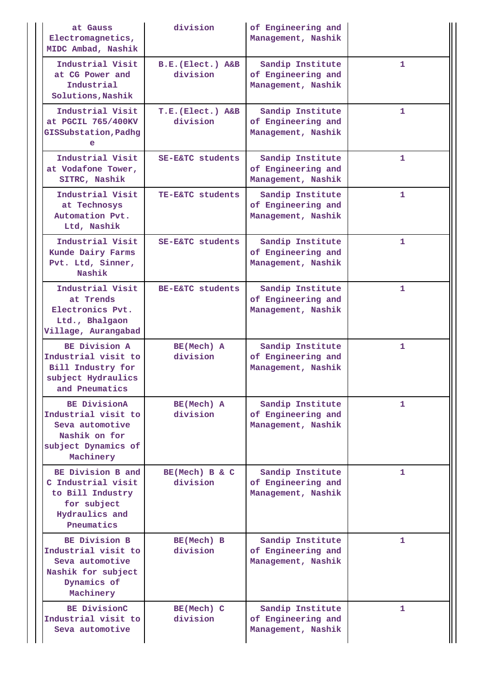| at Gauss<br>Electromagnetics,<br>MIDC Ambad, Nashik                                                                | division                      | of Engineering and<br>Management, Nashik                     |              |
|--------------------------------------------------------------------------------------------------------------------|-------------------------------|--------------------------------------------------------------|--------------|
| Industrial Visit<br>at CG Power and<br>Industrial<br>Solutions, Nashik                                             | B.E. (Elect.) A&B<br>division | Sandip Institute<br>of Engineering and<br>Management, Nashik | 1            |
| Industrial Visit<br>at PGCIL 765/400KV<br>GISSubstation, Padhg<br>е                                                | T.E. (Elect.) A&B<br>division | Sandip Institute<br>of Engineering and<br>Management, Nashik | $\mathbf{1}$ |
| Industrial Visit<br>at Vodafone Tower,<br>SITRC, Nashik                                                            | SE-E&TC students              | Sandip Institute<br>of Engineering and<br>Management, Nashik | $\mathbf{1}$ |
| Industrial Visit<br>at Technosys<br>Automation Pvt.<br>Ltd, Nashik                                                 | TE-E&TC students              | Sandip Institute<br>of Engineering and<br>Management, Nashik | 1            |
| Industrial Visit<br>Kunde Dairy Farms<br>Pvt. Ltd, Sinner,<br>Nashik                                               | SE-E&TC students              | Sandip Institute<br>of Engineering and<br>Management, Nashik | 1            |
| Industrial Visit<br>at Trends<br>Electronics Pvt.<br>Ltd., Bhalgaon<br>Village, Aurangabad                         | BE-E&TC students              | Sandip Institute<br>of Engineering and<br>Management, Nashik | 1            |
| BE Division A<br>Industrial visit to<br>Bill Industry for<br>subject Hydraulics<br>and Pneumatics                  | BE(Mech) A<br>division        | Sandip Institute<br>of Engineering and<br>Management, Nashik | $\mathbf{1}$ |
| <b>BE DivisionA</b><br>Industrial visit to<br>Seva automotive<br>Nashik on for<br>subject Dynamics of<br>Machinery | BE(Mech) A<br>division        | Sandip Institute<br>of Engineering and<br>Management, Nashik | 1            |
| BE Division B and<br>C Industrial visit<br>to Bill Industry<br>for subject<br>Hydraulics and<br>Pneumatics         | BE(Mech) B & C<br>division    | Sandip Institute<br>of Engineering and<br>Management, Nashik | 1            |
| BE Division B<br>Industrial visit to<br>Seva automotive<br>Nashik for subject<br>Dynamics of<br>Machinery          | BE(Mech) B<br>division        | Sandip Institute<br>of Engineering and<br>Management, Nashik | 1            |
| BE DivisionC<br>Industrial visit to<br>Seva automotive                                                             | BE(Mech) C<br>division        | Sandip Institute<br>of Engineering and<br>Management, Nashik | 1            |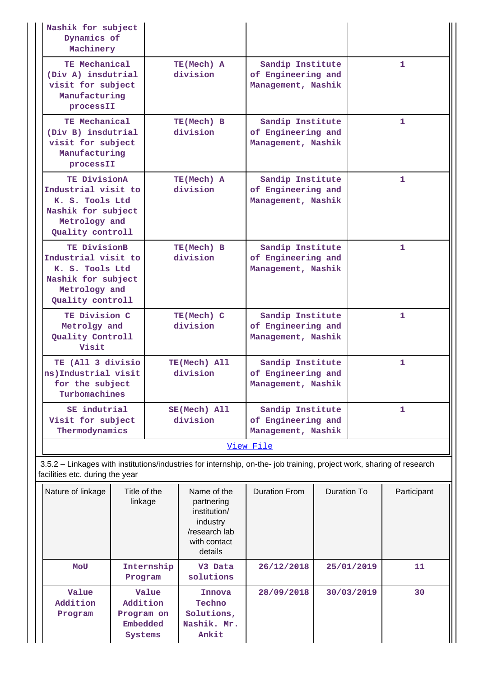| Nashik for subject<br>Dynamics of<br>Machinery                                                                                                           |                          |                                                              |   |  |  |  |
|----------------------------------------------------------------------------------------------------------------------------------------------------------|--------------------------|--------------------------------------------------------------|---|--|--|--|
| TE Mechanical<br>(Div A) insdutrial<br>visit for subject<br>Manufacturing<br>processII                                                                   | TE(Mech) A<br>division   | Sandip Institute<br>of Engineering and<br>Management, Nashik | 1 |  |  |  |
| TE Mechanical<br>(Div B) insdutrial<br>visit for subject<br>Manufacturing<br>processII                                                                   | TE(Mech) B<br>division   | Sandip Institute<br>of Engineering and<br>Management, Nashik | 1 |  |  |  |
| TE DivisionA<br>Industrial visit to<br>K. S. Tools Ltd<br>Nashik for subject<br>Metrology and<br>Quality controll                                        | TE(Mech) A<br>division   | Sandip Institute<br>of Engineering and<br>Management, Nashik | 1 |  |  |  |
| TE DivisionB<br>Industrial visit to<br>K. S. Tools Ltd<br>Nashik for subject<br>Metrology and<br>Quality controll                                        | TE(Mech) B<br>division   | Sandip Institute<br>of Engineering and<br>Management, Nashik | 1 |  |  |  |
| TE Division C<br>Metrolgy and<br>Quality Controll<br>Visit                                                                                               | TE(Mech) C<br>division   | Sandip Institute<br>of Engineering and<br>Management, Nashik | 1 |  |  |  |
| TE (All 3 divisio<br>ns)Industrial visit<br>for the subject<br>Turbomachines                                                                             | TE(Mech) All<br>division | Sandip Institute<br>of Engineering and<br>Management, Nashik | 1 |  |  |  |
| SE indutrial<br>Visit for subject<br>Thermodynamics                                                                                                      | SE(Mech) All<br>division | Sandip Institute<br>of Engineering and<br>Management, Nashik | 1 |  |  |  |
|                                                                                                                                                          |                          | View File                                                    |   |  |  |  |
| 3.5.2 - Linkages with institutions/industries for internship, on-the- job training, project work, sharing of research<br>facilities etc. during the year |                          |                                                              |   |  |  |  |

| Nature of linkage            | Title of the<br>linkage                                | Name of the<br>partnering<br>institution/<br>industry<br>/research lab<br>with contact<br>details | Duration From | Duration To | Participant |
|------------------------------|--------------------------------------------------------|---------------------------------------------------------------------------------------------------|---------------|-------------|-------------|
| MOU                          | Internship<br>Program                                  | V3 Data<br>solutions                                                                              | 26/12/2018    | 25/01/2019  | 11          |
| Value<br>Addition<br>Program | Value<br>Addition<br>Program on<br>Embedded<br>Systems | Innova<br>Techno<br>Solutions,<br>Nashik. Mr.<br>Ankit                                            | 28/09/2018    | 30/03/2019  | 30          |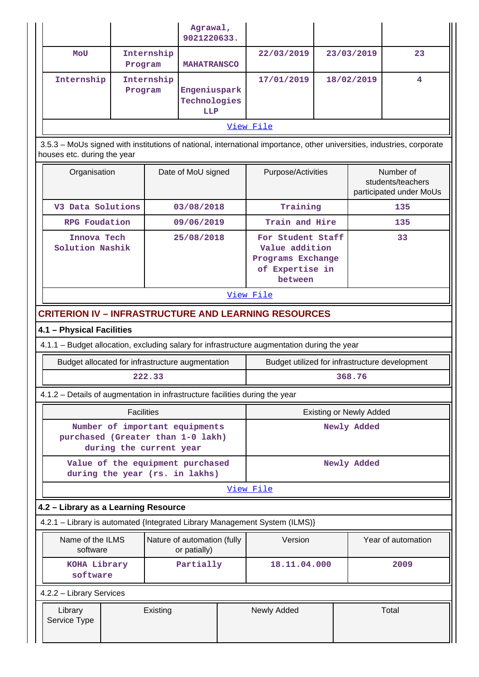|                                                                                                                                                       |                                |            | Agrawal,<br>9021220633.                     |             |                                                                                             |                    |                                |                                                           |
|-------------------------------------------------------------------------------------------------------------------------------------------------------|--------------------------------|------------|---------------------------------------------|-------------|---------------------------------------------------------------------------------------------|--------------------|--------------------------------|-----------------------------------------------------------|
| MOU                                                                                                                                                   | Program                        | Internship | <b>MAHATRANSCO</b>                          |             | 22/03/2019                                                                                  |                    | 23/03/2019                     | 23                                                        |
| Internship                                                                                                                                            | Program                        | Internship | Engeniuspark<br>Technologies<br>LLP         |             | 17/01/2019                                                                                  | 18/02/2019         |                                | 4                                                         |
| View File                                                                                                                                             |                                |            |                                             |             |                                                                                             |                    |                                |                                                           |
| 3.5.3 - MoUs signed with institutions of national, international importance, other universities, industries, corporate<br>houses etc. during the year |                                |            |                                             |             |                                                                                             |                    |                                |                                                           |
| Organisation                                                                                                                                          |                                |            | Date of MoU signed                          |             |                                                                                             | Purpose/Activities |                                | Number of<br>students/teachers<br>participated under MoUs |
| V3 Data Solutions                                                                                                                                     |                                |            | 03/08/2018                                  |             | Training                                                                                    |                    |                                | 135                                                       |
| <b>RPG</b> Foudation                                                                                                                                  |                                |            | 09/06/2019                                  |             | Train and Hire                                                                              |                    |                                | 135                                                       |
| Innova Tech<br>Solution Nashik                                                                                                                        |                                |            | 25/08/2018                                  |             | For Student Staff<br>Value addition<br>Programs Exchange<br>of Expertise in<br>between      |                    |                                | 33                                                        |
| View File                                                                                                                                             |                                |            |                                             |             |                                                                                             |                    |                                |                                                           |
| <b>CRITERION IV - INFRASTRUCTURE AND LEARNING RESOURCES</b>                                                                                           |                                |            |                                             |             |                                                                                             |                    |                                |                                                           |
| 4.1 - Physical Facilities                                                                                                                             |                                |            |                                             |             |                                                                                             |                    |                                |                                                           |
|                                                                                                                                                       |                                |            |                                             |             | 4.1.1 - Budget allocation, excluding salary for infrastructure augmentation during the year |                    |                                |                                                           |
| Budget allocated for infrastructure augmentation                                                                                                      |                                |            |                                             |             | Budget utilized for infrastructure development                                              |                    |                                |                                                           |
|                                                                                                                                                       |                                | 222.33     |                                             |             |                                                                                             |                    | 368.76                         |                                                           |
| 4.1.2 - Details of augmentation in infrastructure facilities during the year                                                                          |                                |            |                                             |             |                                                                                             |                    |                                |                                                           |
|                                                                                                                                                       | <b>Facilities</b>              |            |                                             |             |                                                                                             |                    | <b>Existing or Newly Added</b> |                                                           |
|                                                                                                                                                       | Number of important equipments |            |                                             |             |                                                                                             |                    | Newly Added                    |                                                           |
| purchased (Greater than 1-0 lakh)                                                                                                                     | during the current year        |            |                                             |             |                                                                                             |                    |                                |                                                           |
| Value of the equipment purchased<br>during the year (rs. in lakhs)                                                                                    |                                |            |                                             |             |                                                                                             |                    | Newly Added                    |                                                           |
|                                                                                                                                                       |                                |            |                                             |             | View File                                                                                   |                    |                                |                                                           |
| 4.2 - Library as a Learning Resource                                                                                                                  |                                |            |                                             |             |                                                                                             |                    |                                |                                                           |
|                                                                                                                                                       |                                |            |                                             |             | 4.2.1 - Library is automated {Integrated Library Management System (ILMS)}                  |                    |                                |                                                           |
| Name of the ILMS<br>software                                                                                                                          |                                |            | Nature of automation (fully<br>or patially) |             | Version                                                                                     |                    |                                | Year of automation                                        |
| KOHA Library<br>software                                                                                                                              |                                |            | Partially                                   |             | 18.11.04.000                                                                                |                    |                                | 2009                                                      |
| 4.2.2 - Library Services                                                                                                                              |                                |            |                                             |             |                                                                                             |                    |                                |                                                           |
| Library<br>Existing<br>Service Type                                                                                                                   |                                |            |                                             | Newly Added |                                                                                             |                    | Total                          |                                                           |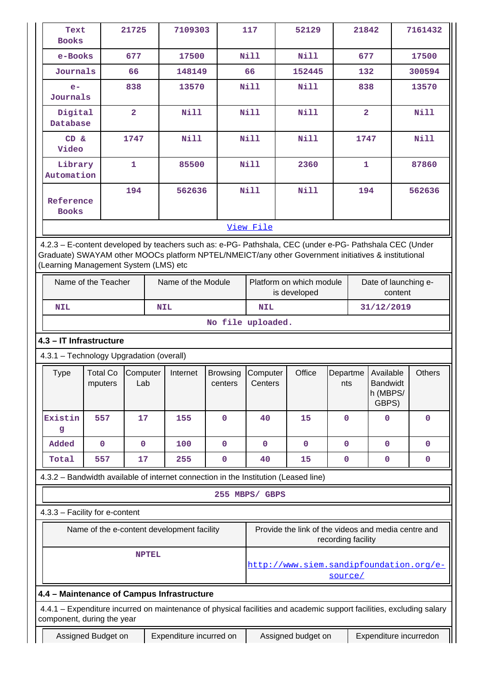| Text                                  |                                          |                         |                                                                                                                                                                                                                |                            |                                                                                              |                                                     |                               |                |  |               |
|---------------------------------------|------------------------------------------|-------------------------|----------------------------------------------------------------------------------------------------------------------------------------------------------------------------------------------------------------|----------------------------|----------------------------------------------------------------------------------------------|-----------------------------------------------------|-------------------------------|----------------|--|---------------|
| <b>Books</b>                          |                                          | 21725                   | 7109303                                                                                                                                                                                                        |                            | 117                                                                                          | 52129                                               |                               | 21842          |  | 7161432       |
| e-Books                               |                                          | 677                     | 17500                                                                                                                                                                                                          |                            | Nill                                                                                         | <b>Nill</b>                                         |                               | 677            |  | 17500         |
| Journals                              |                                          | 66                      | 148149                                                                                                                                                                                                         |                            | 66                                                                                           | 152445                                              |                               | 132            |  | 300594        |
| $e-$<br>Journals                      |                                          | 838                     |                                                                                                                                                                                                                | 13570                      |                                                                                              | <b>Nill</b><br><b>Nill</b>                          |                               | 838            |  | 13570         |
| Digital<br>Database                   |                                          | $\overline{\mathbf{2}}$ | <b>Nill</b>                                                                                                                                                                                                    |                            | Nill                                                                                         | Nill                                                |                               | $\overline{2}$ |  | Nill          |
| CD &<br>Video                         |                                          | 1747                    | <b>Nill</b>                                                                                                                                                                                                    |                            | <b>Nill</b>                                                                                  | <b>Nill</b>                                         |                               | 1747           |  | Nill          |
| Library<br>Automation                 |                                          | $\mathbf{1}$            | 85500                                                                                                                                                                                                          |                            | <b>Nill</b>                                                                                  | 2360                                                |                               | $\mathbf{1}$   |  | 87860         |
| Reference<br><b>Books</b>             |                                          | 194                     | 562636                                                                                                                                                                                                         |                            | <b>Nill</b>                                                                                  | <b>Nill</b>                                         |                               | 194            |  | 562636        |
|                                       |                                          |                         |                                                                                                                                                                                                                |                            | View File                                                                                    |                                                     |                               |                |  |               |
|                                       |                                          |                         |                                                                                                                                                                                                                |                            |                                                                                              |                                                     |                               |                |  |               |
| (Learning Management System (LMS) etc |                                          |                         | 4.2.3 - E-content developed by teachers such as: e-PG- Pathshala, CEC (under e-PG- Pathshala CEC (Under<br>Graduate) SWAYAM other MOOCs platform NPTEL/NMEICT/any other Government initiatives & institutional |                            |                                                                                              |                                                     |                               |                |  |               |
|                                       | Name of the Teacher                      |                         | Name of the Module                                                                                                                                                                                             |                            | Platform on which module<br>Date of launching e-<br>is developed<br>content                  |                                                     |                               |                |  |               |
| <b>NIL</b>                            |                                          |                         | <b>NIL</b>                                                                                                                                                                                                     |                            | 31/12/2019<br><b>NIL</b>                                                                     |                                                     |                               |                |  |               |
|                                       | No file uploaded.                        |                         |                                                                                                                                                                                                                |                            |                                                                                              |                                                     |                               |                |  |               |
| 4.3 - IT Infrastructure               |                                          |                         |                                                                                                                                                                                                                |                            |                                                                                              |                                                     |                               |                |  |               |
|                                       | 4.3.1 - Technology Upgradation (overall) |                         |                                                                                                                                                                                                                |                            |                                                                                              |                                                     |                               |                |  |               |
| <b>Type</b>                           | <b>Total Co</b>                          |                         |                                                                                                                                                                                                                |                            | Office<br>Computer<br>Departme<br>Available<br><b>Bandwidt</b><br>Centers<br>nts<br>h (MBPS/ |                                                     |                               |                |  |               |
|                                       | mputers                                  | Computer<br>Lab         | Internet                                                                                                                                                                                                       | <b>Browsing</b><br>centers |                                                                                              |                                                     |                               | GBPS)          |  | <b>Others</b> |
| Existin<br>g                          | 557                                      | 17                      | 155                                                                                                                                                                                                            | $\mathbf 0$                | 40                                                                                           | 15                                                  | 0                             | 0              |  | $\mathbf 0$   |
| Added                                 | $\mathbf 0$                              | $\mathbf 0$             | 100                                                                                                                                                                                                            | $\mathbf 0$                | $\mathbf 0$                                                                                  | $\mathbf 0$                                         | $\mathbf 0$                   | $\mathbf 0$    |  | $\mathbf 0$   |
| Total                                 | 557                                      | 17                      | 255                                                                                                                                                                                                            | $\mathbf 0$                | 40                                                                                           | 15                                                  | $\mathbf 0$                   | $\mathbf 0$    |  | $\mathbf 0$   |
|                                       |                                          |                         | 4.3.2 - Bandwidth available of internet connection in the Institution (Leased line)                                                                                                                            |                            |                                                                                              |                                                     |                               |                |  |               |
|                                       |                                          |                         |                                                                                                                                                                                                                |                            | 255 MBPS/ GBPS                                                                               |                                                     |                               |                |  |               |
| 4.3.3 - Facility for e-content        |                                          |                         |                                                                                                                                                                                                                |                            |                                                                                              |                                                     |                               |                |  |               |
|                                       |                                          |                         | Name of the e-content development facility                                                                                                                                                                     |                            |                                                                                              | Provide the link of the videos and media centre and |                               |                |  |               |
|                                       |                                          | <b>NPTEL</b>            |                                                                                                                                                                                                                |                            |                                                                                              | http://www.siem.sandipfoundation.org/e-             | recording facility<br>source/ |                |  |               |
|                                       |                                          |                         | 4.4 - Maintenance of Campus Infrastructure                                                                                                                                                                     |                            |                                                                                              |                                                     |                               |                |  |               |
| component, during the year            |                                          |                         | 4.4.1 - Expenditure incurred on maintenance of physical facilities and academic support facilities, excluding salary                                                                                           |                            |                                                                                              |                                                     |                               |                |  |               |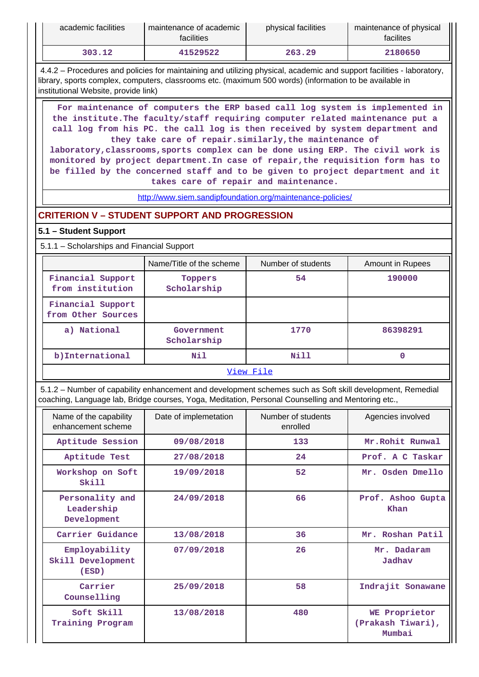| academic facilities | maintenance of academic<br>facilities | physical facilities | maintenance of physical<br>facilites |
|---------------------|---------------------------------------|---------------------|--------------------------------------|
| 303.12              | 41529522                              | 263.29              | 2180650                              |

 4.4.2 – Procedures and policies for maintaining and utilizing physical, academic and support facilities - laboratory, library, sports complex, computers, classrooms etc. (maximum 500 words) (information to be available in institutional Website, provide link)

 **For maintenance of computers the ERP based call log system is implemented in the institute.The faculty/staff requiring computer related maintenance put a call log from his PC. the call log is then received by system department and they take care of repair.similarly,the maintenance of**

**laboratory,classrooms,sports complex can be done using ERP. The civil work is monitored by project department.In case of repair,the requisition form has to be filled by the concerned staff and to be given to project department and it takes care of repair and maintenance.**

<http://www.siem.sandipfoundation.org/maintenance-policies/>

# **CRITERION V – STUDENT SUPPORT AND PROGRESSION**

### **5.1 – Student Support**

5.1.1 – Scholarships and Financial Support

|                                         | Name/Title of the scheme  | Number of students | Amount in Rupees |  |  |  |  |
|-----------------------------------------|---------------------------|--------------------|------------------|--|--|--|--|
| Financial Support<br>from institution   | Toppers<br>Scholarship    | 54                 | 190000           |  |  |  |  |
| Financial Support<br>from Other Sources |                           |                    |                  |  |  |  |  |
| a) National                             | Government<br>Scholarship | 1770               | 86398291         |  |  |  |  |
| b) International                        | Nil                       | Nill               | 0                |  |  |  |  |
|                                         | View File                 |                    |                  |  |  |  |  |

 5.1.2 – Number of capability enhancement and development schemes such as Soft skill development, Remedial coaching, Language lab, Bridge courses, Yoga, Meditation, Personal Counselling and Mentoring etc.,

| Name of the capability<br>enhancement scheme | Date of implemetation | Number of students<br>enrolled | Agencies involved                            |
|----------------------------------------------|-----------------------|--------------------------------|----------------------------------------------|
| Aptitude Session                             | 09/08/2018            | 133                            | Mr. Rohit Runwal                             |
| Aptitude Test                                | 27/08/2018            | 24                             | Prof. A C Taskar                             |
| Workshop on Soft<br>$S_{k111}$               | 19/09/2018            | 52                             | Mr. Osden Dmello                             |
| Personality and<br>Leadership<br>Development | 24/09/2018            | 66                             | Prof. Ashoo Gupta<br>Khan                    |
| Carrier Guidance                             | 13/08/2018            | 36                             | Mr. Roshan Patil                             |
| Employability<br>Skill Development<br>(ESD)  | 07/09/2018            | 26                             | Mr. Dadaram<br>Jadhav                        |
| Carrier<br>Counselling                       | 25/09/2018            | 58                             | Indrajit Sonawane                            |
| Soft Skill<br>Training Program               | 13/08/2018            | 480                            | WE Proprietor<br>(Prakash Tiwari),<br>Mumbai |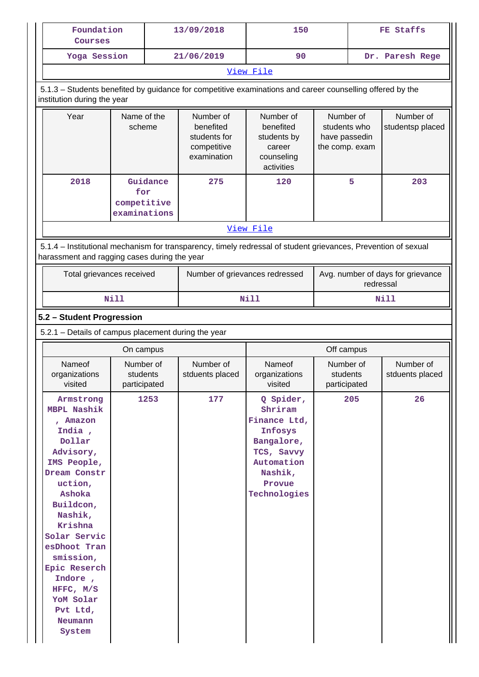| Foundation<br>Courses                                                                                                                    |                       | 13/09/2018<br>150                                                    |                                                                             | FE Staffs                                                    |                 |                               |
|------------------------------------------------------------------------------------------------------------------------------------------|-----------------------|----------------------------------------------------------------------|-----------------------------------------------------------------------------|--------------------------------------------------------------|-----------------|-------------------------------|
| Yoga Session                                                                                                                             |                       | 21/06/2019                                                           | 90                                                                          |                                                              | Dr. Paresh Rege |                               |
|                                                                                                                                          |                       |                                                                      | View File                                                                   |                                                              |                 |                               |
| 5.1.3 – Students benefited by guidance for competitive examinations and career counselling offered by the<br>institution during the year |                       |                                                                      |                                                                             |                                                              |                 |                               |
|                                                                                                                                          |                       |                                                                      |                                                                             |                                                              |                 |                               |
| Year                                                                                                                                     | Name of the<br>scheme | Number of<br>benefited<br>students for<br>competitive<br>examination | Number of<br>benefited<br>students by<br>career<br>counseling<br>activities | Number of<br>students who<br>have passedin<br>the comp. exam |                 | Number of<br>studentsp placed |

|                                                                                                                | for          |  |           |  |  |
|----------------------------------------------------------------------------------------------------------------|--------------|--|-----------|--|--|
|                                                                                                                | competitive  |  |           |  |  |
|                                                                                                                | examinations |  |           |  |  |
|                                                                                                                |              |  | View File |  |  |
|                                                                                                                |              |  |           |  |  |
| 5.1.4 – Institutional mechanism for transparency, timely redressal of student grievances, Prevention of sexual |              |  |           |  |  |

harassment and ragging cases during the year

| Total grievances received | Number of grievances redressed | Avg. number of days for grievance<br>redressal |
|---------------------------|--------------------------------|------------------------------------------------|
| Nill                      | Nill                           | Nill                                           |

# **5.2 – Student Progression**

5.2.1 – Details of campus placement during the year

| On campus                                                                                                                                                                                                                                                                                                |                                       |                              | Off campus                                                                                                                     |                                       |                              |
|----------------------------------------------------------------------------------------------------------------------------------------------------------------------------------------------------------------------------------------------------------------------------------------------------------|---------------------------------------|------------------------------|--------------------------------------------------------------------------------------------------------------------------------|---------------------------------------|------------------------------|
| Nameof<br>organizations<br>visited                                                                                                                                                                                                                                                                       | Number of<br>students<br>participated | Number of<br>stduents placed | Nameof<br>organizations<br>visited                                                                                             | Number of<br>students<br>participated | Number of<br>stduents placed |
| Armstrong<br><b>MBPL Nashik</b><br>, Amazon<br>India,<br>Dollar<br>Advisory,<br>IMS People,<br>Dream Constr<br>uction,<br>Ashoka<br>Buildcon,<br>Nashik,<br>Krishna<br>Solar Servic<br>esDhoot Tran<br>smission,<br>Epic Reserch<br>Indore,<br>HFFC, $M/S$<br>YoM Solar<br>Pvt Ltd,<br>Neumann<br>System | 1253                                  | 177                          | Q Spider,<br>Shriram<br>Finance Ltd,<br>Infosys<br>Bangalore,<br>TCS, Savvy<br>Automation<br>Nashik,<br>Provue<br>Technologies | 205                                   | 26                           |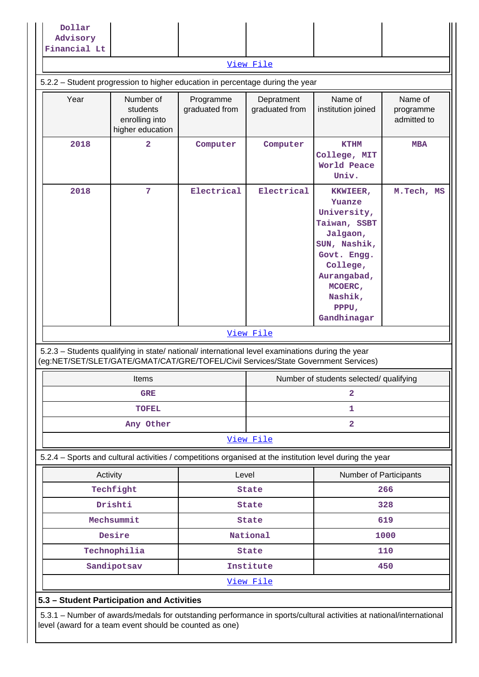| Advisory<br>Financial Lt                                                      |                                                                                                                                                                                        |                             |                              |                                                                                                                                               |                                     |
|-------------------------------------------------------------------------------|----------------------------------------------------------------------------------------------------------------------------------------------------------------------------------------|-----------------------------|------------------------------|-----------------------------------------------------------------------------------------------------------------------------------------------|-------------------------------------|
|                                                                               |                                                                                                                                                                                        |                             | View File                    |                                                                                                                                               |                                     |
| 5.2.2 - Student progression to higher education in percentage during the year |                                                                                                                                                                                        |                             |                              |                                                                                                                                               |                                     |
|                                                                               |                                                                                                                                                                                        |                             |                              |                                                                                                                                               |                                     |
| Year                                                                          | Number of<br>students<br>enrolling into<br>higher education                                                                                                                            | Programme<br>graduated from | Depratment<br>graduated from | Name of<br>institution joined                                                                                                                 | Name of<br>programme<br>admitted to |
| 2018                                                                          | $\overline{\mathbf{2}}$                                                                                                                                                                | Computer                    | Computer                     | <b>KTHM</b><br>College, MIT<br>World Peace<br>Univ.                                                                                           | <b>MBA</b>                          |
| 2018                                                                          | 7                                                                                                                                                                                      | Electrical                  | Electrical                   | KKWIEER,<br>Yuanze<br>University,<br>Taiwan, SSBT<br>Jalgaon,<br>SUN, Nashik,<br>Govt. Engg.<br>College,<br>Aurangabad,<br>MCOERC,<br>Nashik, | M.Tech, MS                          |
|                                                                               |                                                                                                                                                                                        |                             |                              | PPPU,<br>Gandhinagar                                                                                                                          |                                     |
|                                                                               |                                                                                                                                                                                        |                             | View File                    |                                                                                                                                               |                                     |
|                                                                               | 5.2.3 - Students qualifying in state/ national/ international level examinations during the year<br>(eg:NET/SET/SLET/GATE/GMAT/CAT/GRE/TOFEL/Civil Services/State Government Services) |                             |                              |                                                                                                                                               |                                     |
|                                                                               | Items                                                                                                                                                                                  |                             |                              | Number of students selected/ qualifying                                                                                                       |                                     |
|                                                                               | <b>GRE</b>                                                                                                                                                                             |                             |                              | 2                                                                                                                                             |                                     |
|                                                                               | <b>TOFEL</b>                                                                                                                                                                           |                             |                              | 1                                                                                                                                             |                                     |
|                                                                               | Any Other                                                                                                                                                                              |                             |                              | $\overline{\mathbf{2}}$                                                                                                                       |                                     |
|                                                                               |                                                                                                                                                                                        |                             | View File                    |                                                                                                                                               |                                     |
|                                                                               | 5.2.4 - Sports and cultural activities / competitions organised at the institution level during the year                                                                               |                             |                              |                                                                                                                                               |                                     |
| Activity                                                                      |                                                                                                                                                                                        | Level                       |                              | Number of Participants                                                                                                                        |                                     |
|                                                                               | Techfight                                                                                                                                                                              |                             | <b>State</b>                 |                                                                                                                                               | 266                                 |
|                                                                               | Drishti                                                                                                                                                                                |                             | <b>State</b>                 |                                                                                                                                               | 328                                 |
|                                                                               | Mechsummit                                                                                                                                                                             |                             | <b>State</b>                 |                                                                                                                                               | 619                                 |
|                                                                               | Desire                                                                                                                                                                                 |                             | National                     |                                                                                                                                               | 1000                                |
|                                                                               | Technophilia                                                                                                                                                                           |                             | <b>State</b>                 |                                                                                                                                               | 110                                 |
|                                                                               | Sandipotsav                                                                                                                                                                            |                             | Institute                    |                                                                                                                                               | 450                                 |
|                                                                               |                                                                                                                                                                                        |                             | <u>View File</u>             |                                                                                                                                               |                                     |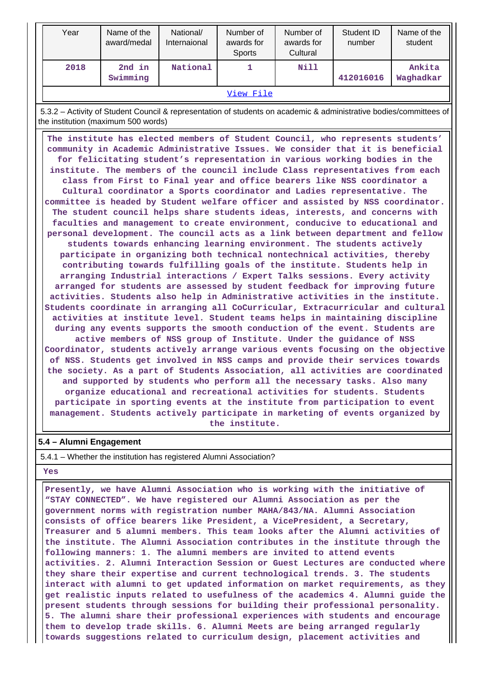| 2nd in<br>Ankita<br>2018<br>National<br>Nill<br>1.<br>Swimming<br>412016016<br>Waghadkar<br>View File<br>the institution (maximum 500 words)<br>The institute has elected members of Student Council, who represents students'<br>community in Academic Administrative Issues. We consider that it is beneficial<br>for felicitating student's representation in various working bodies in the<br>institute. The members of the council include Class representatives from each<br>class from First to Final year and office bearers like NSS coordinator a<br>Cultural coordinator a Sports coordinator and Ladies representative. The<br>committee is headed by Student welfare officer and assisted by NSS coordinator.<br>The student council helps share students ideas, interests, and concerns with<br>faculties and management to create environment, conducive to educational and<br>personal development. The council acts as a link between department and fellow<br>students towards enhancing learning environment. The students actively<br>participate in organizing both technical nontechnical activities, thereby<br>contributing towards fulfilling goals of the institute. Students help in<br>arranging Industrial interactions / Expert Talks sessions. Every activity<br>arranged for students are assessed by student feedback for improving future<br>activities. Students also help in Administrative activities in the institute.<br>Students coordinate in arranging all CoCurricular, Extracurricular and cultural<br>activities at institute level. Student teams helps in maintaining discipline<br>during any events supports the smooth conduction of the event. Students are<br>active members of NSS group of Institute. Under the guidance of NSS<br>Coordinator, students actively arrange various events focusing on the objective<br>of NSS. Students get involved in NSS camps and provide their services towards<br>the society. As a part of Students Association, all activities are coordinated<br>and supported by students who perform all the necessary tasks. Also many<br>organize educational and recreational activities for students. Students<br>participate in sporting events at the institute from participation to event<br>management. Students actively participate in marketing of events organized by<br>the institute.<br>5.4 - Alumni Engagement | Year | Name of the<br>award/medal | National/<br>Internaional | Number of<br>awards for<br>Sports | Number of<br>awards for<br>Cultural | Student ID<br>number | Name of the<br>student |
|-----------------------------------------------------------------------------------------------------------------------------------------------------------------------------------------------------------------------------------------------------------------------------------------------------------------------------------------------------------------------------------------------------------------------------------------------------------------------------------------------------------------------------------------------------------------------------------------------------------------------------------------------------------------------------------------------------------------------------------------------------------------------------------------------------------------------------------------------------------------------------------------------------------------------------------------------------------------------------------------------------------------------------------------------------------------------------------------------------------------------------------------------------------------------------------------------------------------------------------------------------------------------------------------------------------------------------------------------------------------------------------------------------------------------------------------------------------------------------------------------------------------------------------------------------------------------------------------------------------------------------------------------------------------------------------------------------------------------------------------------------------------------------------------------------------------------------------------------------------------------------------------------------------------------------------------------------------------------------------------------------------------------------------------------------------------------------------------------------------------------------------------------------------------------------------------------------------------------------------------------------------------------------------------------------------------------------------------------------------------------------------------------------------------|------|----------------------------|---------------------------|-----------------------------------|-------------------------------------|----------------------|------------------------|
|                                                                                                                                                                                                                                                                                                                                                                                                                                                                                                                                                                                                                                                                                                                                                                                                                                                                                                                                                                                                                                                                                                                                                                                                                                                                                                                                                                                                                                                                                                                                                                                                                                                                                                                                                                                                                                                                                                                                                                                                                                                                                                                                                                                                                                                                                                                                                                                                                 |      |                            |                           |                                   |                                     |                      |                        |
| 5.3.2 - Activity of Student Council & representation of students on academic & administrative bodies/committees of                                                                                                                                                                                                                                                                                                                                                                                                                                                                                                                                                                                                                                                                                                                                                                                                                                                                                                                                                                                                                                                                                                                                                                                                                                                                                                                                                                                                                                                                                                                                                                                                                                                                                                                                                                                                                                                                                                                                                                                                                                                                                                                                                                                                                                                                                              |      |                            |                           |                                   |                                     |                      |                        |
|                                                                                                                                                                                                                                                                                                                                                                                                                                                                                                                                                                                                                                                                                                                                                                                                                                                                                                                                                                                                                                                                                                                                                                                                                                                                                                                                                                                                                                                                                                                                                                                                                                                                                                                                                                                                                                                                                                                                                                                                                                                                                                                                                                                                                                                                                                                                                                                                                 |      |                            |                           |                                   |                                     |                      |                        |
|                                                                                                                                                                                                                                                                                                                                                                                                                                                                                                                                                                                                                                                                                                                                                                                                                                                                                                                                                                                                                                                                                                                                                                                                                                                                                                                                                                                                                                                                                                                                                                                                                                                                                                                                                                                                                                                                                                                                                                                                                                                                                                                                                                                                                                                                                                                                                                                                                 |      |                            |                           |                                   |                                     |                      |                        |
| 5.4.1 – Whether the institution has registered Alumni Association?                                                                                                                                                                                                                                                                                                                                                                                                                                                                                                                                                                                                                                                                                                                                                                                                                                                                                                                                                                                                                                                                                                                                                                                                                                                                                                                                                                                                                                                                                                                                                                                                                                                                                                                                                                                                                                                                                                                                                                                                                                                                                                                                                                                                                                                                                                                                              |      |                            |                           |                                   |                                     |                      |                        |

#### **Yes**

 **Presently, we have Alumni Association who is working with the initiative of "STAY CONNECTED". We have registered our Alumni Association as per the government norms with registration number MAHA/843/NA. Alumni Association consists of office bearers like President, a VicePresident, a Secretary, Treasurer and 5 alumni members. This team looks after the Alumni activities of the institute. The Alumni Association contributes in the institute through the following manners: 1. The alumni members are invited to attend events activities. 2. Alumni Interaction Session or Guest Lectures are conducted where they share their expertise and current technological trends. 3. The students interact with alumni to get updated information on market requirements, as they get realistic inputs related to usefulness of the academics 4. Alumni guide the present students through sessions for building their professional personality. 5. The alumni share their professional experiences with students and encourage them to develop trade skills. 6. Alumni Meets are being arranged regularly towards suggestions related to curriculum design, placement activities and**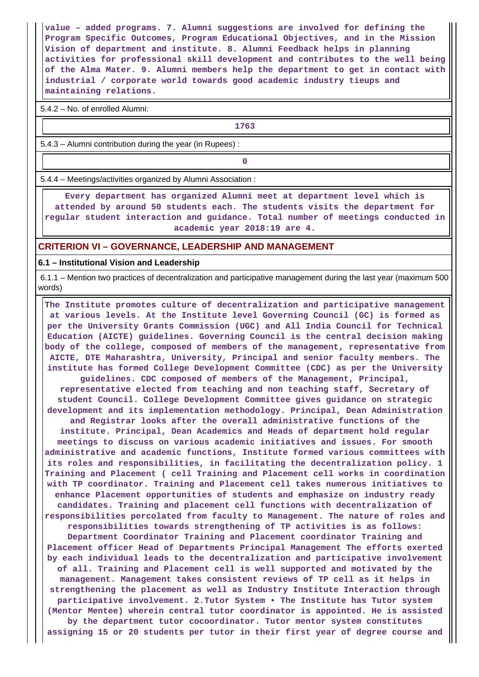**value – added programs. 7. Alumni suggestions are involved for defining the Program Specific Outcomes, Program Educational Objectives, and in the Mission Vision of department and institute. 8. Alumni Feedback helps in planning activities for professional skill development and contributes to the well being of the Alma Mater. 9. Alumni members help the department to get in contact with industrial / corporate world towards good academic industry tieups and maintaining relations.**

5.4.2 – No. of enrolled Alumni:

**1763**

5.4.3 – Alumni contribution during the year (in Rupees) :

**0**

5.4.4 – Meetings/activities organized by Alumni Association :

 **Every department has organized Alumni meet at department level which is attended by around 50 students each. The students visits the department for regular student interaction and guidance. Total number of meetings conducted in academic year 2018:19 are 4.**

#### **CRITERION VI – GOVERNANCE, LEADERSHIP AND MANAGEMENT**

#### **6.1 – Institutional Vision and Leadership**

 6.1.1 – Mention two practices of decentralization and participative management during the last year (maximum 500 words)

 **The Institute promotes culture of decentralization and participative management at various levels. At the Institute level Governing Council (GC) is formed as per the University Grants Commission (UGC) and All India Council for Technical Education (AICTE) guidelines. Governing Council is the central decision making body of the college, composed of members of the management, representative from AICTE, DTE Maharashtra, University, Principal and senior faculty members. The institute has formed College Development Committee (CDC) as per the University guidelines. CDC composed of members of the Management, Principal, representative elected from teaching and non teaching staff, Secretary of student Council. College Development Committee gives guidance on strategic development and its implementation methodology. Principal, Dean Administration and Registrar looks after the overall administrative functions of the institute. Principal, Dean Academics and Heads of department hold regular meetings to discuss on various academic initiatives and issues. For smooth administrative and academic functions, Institute formed various committees with its roles and responsibilities, in facilitating the decentralization policy. 1 Training and Placement ( cell Training and Placement cell works in coordination with TP coordinator. Training and Placement cell takes numerous initiatives to enhance Placement opportunities of students and emphasize on industry ready candidates. Training and placement cell functions with decentralization of responsibilities percolated from faculty to Management. The nature of roles and responsibilities towards strengthening of TP activities is as follows: Department Coordinator Training and Placement coordinator Training and Placement officer Head of Departments Principal Management The efforts exerted by each individual leads to the decentralization and participative involvement of all. Training and Placement cell is well supported and motivated by the management. Management takes consistent reviews of TP cell as it helps in strengthening the placement as well as Industry Institute Interaction through participative involvement. 2.Tutor System • The Institute has Tutor system (Mentor Mentee) wherein central tutor coordinator is appointed. He is assisted by the department tutor cocoordinator. Tutor mentor system constitutes assigning 15 or 20 students per tutor in their first year of degree course and**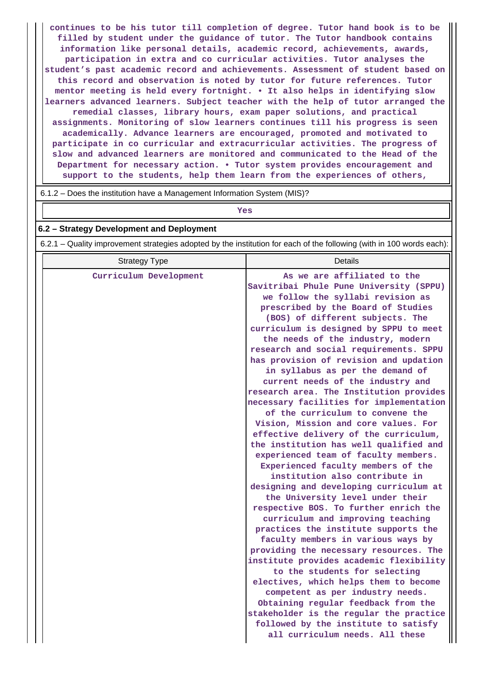**continues to be his tutor till completion of degree. Tutor hand book is to be filled by student under the guidance of tutor. The Tutor handbook contains information like personal details, academic record, achievements, awards, participation in extra and co curricular activities. Tutor analyses the student's past academic record and achievements. Assessment of student based on this record and observation is noted by tutor for future references. Tutor mentor meeting is held every fortnight. • It also helps in identifying slow learners advanced learners. Subject teacher with the help of tutor arranged the remedial classes, library hours, exam paper solutions, and practical assignments. Monitoring of slow learners continues till his progress is seen academically. Advance learners are encouraged, promoted and motivated to participate in co curricular and extracurricular activities. The progress of slow and advanced learners are monitored and communicated to the Head of the Department for necessary action. • Tutor system provides encouragement and support to the students, help them learn from the experiences of others,**

6.1.2 – Does the institution have a Management Information System (MIS)?

*Yes* 

#### **6.2 – Strategy Development and Deployment**

6.2.1 – Quality improvement strategies adopted by the institution for each of the following (with in 100 words each):

| <b>Strategy Type</b>   | <b>Details</b>                                                                                                                                                                                                                                                                                                                                                                                                                                                                                                                                                                                                                                                                                                                                                                                                                                                                                                                                                                                                                                                                                                                                                         |
|------------------------|------------------------------------------------------------------------------------------------------------------------------------------------------------------------------------------------------------------------------------------------------------------------------------------------------------------------------------------------------------------------------------------------------------------------------------------------------------------------------------------------------------------------------------------------------------------------------------------------------------------------------------------------------------------------------------------------------------------------------------------------------------------------------------------------------------------------------------------------------------------------------------------------------------------------------------------------------------------------------------------------------------------------------------------------------------------------------------------------------------------------------------------------------------------------|
| Curriculum Development | As we are affiliated to the<br>Savitribai Phule Pune University (SPPU)<br>we follow the syllabi revision as<br>prescribed by the Board of Studies<br>(BOS) of different subjects. The<br>curriculum is designed by SPPU to meet<br>the needs of the industry, modern<br>research and social requirements. SPPU<br>has provision of revision and updation<br>in syllabus as per the demand of<br>current needs of the industry and<br>research area. The Institution provides<br>necessary facilities for implementation<br>of the curriculum to convene the<br>Vision, Mission and core values. For<br>effective delivery of the curriculum,<br>the institution has well qualified and<br>experienced team of faculty members.<br>Experienced faculty members of the<br>institution also contribute in<br>designing and developing curriculum at<br>the University level under their<br>respective BOS. To further enrich the<br>curriculum and improving teaching<br>practices the institute supports the<br>faculty members in various ways by<br>providing the necessary resources. The<br>institute provides academic flexibility<br>to the students for selecting |
|                        | electives, which helps them to become<br>competent as per industry needs.<br>Obtaining regular feedback from the<br>stakeholder is the regular the practice<br>followed by the institute to satisfy<br>all curriculum needs. All these                                                                                                                                                                                                                                                                                                                                                                                                                                                                                                                                                                                                                                                                                                                                                                                                                                                                                                                                 |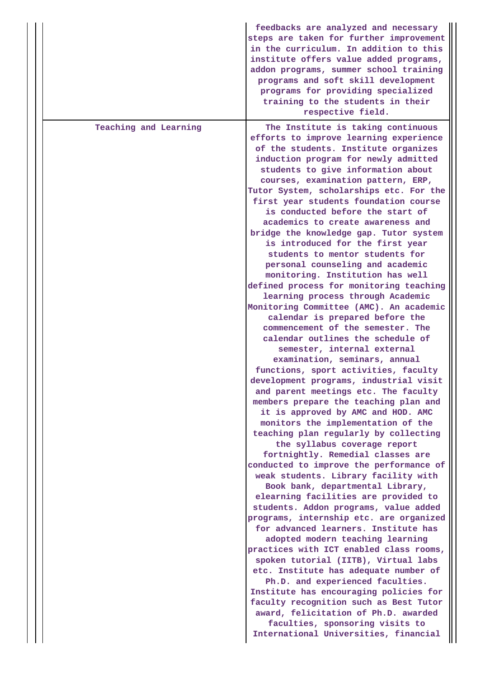|                       | feedbacks are analyzed and necessary<br>steps are taken for further improvement<br>in the curriculum. In addition to this<br>institute offers value added programs,<br>addon programs, summer school training<br>programs and soft skill development<br>programs for providing specialized<br>training to the students in their<br>respective field.                                                                                                                                                                                                                                                                                                                                                                                                                                                                                                                                                                                                                                                                                                                                                                                                                                                                                                                                                                                                                                                                                                                                                                                                                                                                                                                                                                                                                                                                                                                                                                                                                       |
|-----------------------|----------------------------------------------------------------------------------------------------------------------------------------------------------------------------------------------------------------------------------------------------------------------------------------------------------------------------------------------------------------------------------------------------------------------------------------------------------------------------------------------------------------------------------------------------------------------------------------------------------------------------------------------------------------------------------------------------------------------------------------------------------------------------------------------------------------------------------------------------------------------------------------------------------------------------------------------------------------------------------------------------------------------------------------------------------------------------------------------------------------------------------------------------------------------------------------------------------------------------------------------------------------------------------------------------------------------------------------------------------------------------------------------------------------------------------------------------------------------------------------------------------------------------------------------------------------------------------------------------------------------------------------------------------------------------------------------------------------------------------------------------------------------------------------------------------------------------------------------------------------------------------------------------------------------------------------------------------------------------|
| Teaching and Learning | The Institute is taking continuous<br>efforts to improve learning experience<br>of the students. Institute organizes<br>induction program for newly admitted<br>students to give information about<br>courses, examination pattern, ERP,<br>Tutor System, scholarships etc. For the<br>first year students foundation course<br>is conducted before the start of<br>academics to create awareness and<br>bridge the knowledge gap. Tutor system<br>is introduced for the first year<br>students to mentor students for<br>personal counseling and academic<br>monitoring. Institution has well<br>defined process for monitoring teaching<br>learning process through Academic<br>Monitoring Committee (AMC). An academic<br>calendar is prepared before the<br>commencement of the semester. The<br>calendar outlines the schedule of<br>semester, internal external<br>examination, seminars, annual<br>functions, sport activities, faculty<br>development programs, industrial visit<br>and parent meetings etc. The faculty<br>members prepare the teaching plan and<br>it is approved by AMC and HOD. AMC<br>monitors the implementation of the<br>teaching plan regularly by collecting<br>the syllabus coverage report<br>fortnightly. Remedial classes are<br>conducted to improve the performance of<br>weak students. Library facility with<br>Book bank, departmental Library,<br>elearning facilities are provided to<br>students. Addon programs, value added<br>programs, internship etc. are organized<br>for advanced learners. Institute has<br>adopted modern teaching learning<br>practices with ICT enabled class rooms,<br>spoken tutorial (IITB), Virtual labs<br>etc. Institute has adequate number of<br>Ph.D. and experienced faculties.<br>Institute has encouraging policies for<br>faculty recognition such as Best Tutor<br>award, felicitation of Ph.D. awarded<br>faculties, sponsoring visits to<br>International Universities, financial |
|                       |                                                                                                                                                                                                                                                                                                                                                                                                                                                                                                                                                                                                                                                                                                                                                                                                                                                                                                                                                                                                                                                                                                                                                                                                                                                                                                                                                                                                                                                                                                                                                                                                                                                                                                                                                                                                                                                                                                                                                                            |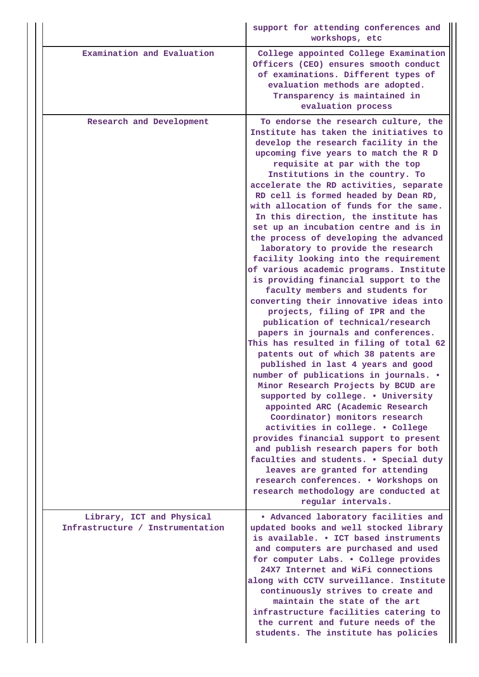|                                                               | support for attending conferences and<br>workshops, etc                                                                                                                                                                                                                                                                                                                                                                                                                                                                                                                                                                                                                                                                                                                                                                                                                                                                                                                                                                                                                                                                                                                                                                                                                                                                                                                                                                                                                                 |
|---------------------------------------------------------------|-----------------------------------------------------------------------------------------------------------------------------------------------------------------------------------------------------------------------------------------------------------------------------------------------------------------------------------------------------------------------------------------------------------------------------------------------------------------------------------------------------------------------------------------------------------------------------------------------------------------------------------------------------------------------------------------------------------------------------------------------------------------------------------------------------------------------------------------------------------------------------------------------------------------------------------------------------------------------------------------------------------------------------------------------------------------------------------------------------------------------------------------------------------------------------------------------------------------------------------------------------------------------------------------------------------------------------------------------------------------------------------------------------------------------------------------------------------------------------------------|
| Examination and Evaluation                                    | College appointed College Examination<br>Officers (CEO) ensures smooth conduct<br>of examinations. Different types of<br>evaluation methods are adopted.<br>Transparency is maintained in<br>evaluation process                                                                                                                                                                                                                                                                                                                                                                                                                                                                                                                                                                                                                                                                                                                                                                                                                                                                                                                                                                                                                                                                                                                                                                                                                                                                         |
| Research and Development                                      | To endorse the research culture, the<br>Institute has taken the initiatives to<br>develop the research facility in the<br>upcoming five years to match the R D<br>requisite at par with the top<br>Institutions in the country. To<br>accelerate the RD activities, separate<br>RD cell is formed headed by Dean RD,<br>with allocation of funds for the same.<br>In this direction, the institute has<br>set up an incubation centre and is in<br>the process of developing the advanced<br>laboratory to provide the research<br>facility looking into the requirement<br>of various academic programs. Institute<br>is providing financial support to the<br>faculty members and students for<br>converting their innovative ideas into<br>projects, filing of IPR and the<br>publication of technical/research<br>papers in journals and conferences.<br>This has resulted in filing of total 62<br>patents out of which 38 patents are<br>published in last 4 years and good<br>number of publications in journals. .<br>Minor Research Projects by BCUD are<br>supported by college. . University<br>appointed ARC (Academic Research<br>Coordinator) monitors research<br>activities in college. . College<br>provides financial support to present<br>and publish research papers for both<br>faculties and students. . Special duty<br>leaves are granted for attending<br>research conferences. . Workshops on<br>research methodology are conducted at<br>regular intervals. |
| Library, ICT and Physical<br>Infrastructure / Instrumentation | • Advanced laboratory facilities and<br>updated books and well stocked library<br>is available. • ICT based instruments<br>and computers are purchased and used<br>for computer Labs. . College provides<br>24X7 Internet and WiFi connections<br>along with CCTV surveillance. Institute<br>continuously strives to create and<br>maintain the state of the art<br>infrastructure facilities catering to                                                                                                                                                                                                                                                                                                                                                                                                                                                                                                                                                                                                                                                                                                                                                                                                                                                                                                                                                                                                                                                                               |
|                                                               | the current and future needs of the<br>students. The institute has policies                                                                                                                                                                                                                                                                                                                                                                                                                                                                                                                                                                                                                                                                                                                                                                                                                                                                                                                                                                                                                                                                                                                                                                                                                                                                                                                                                                                                             |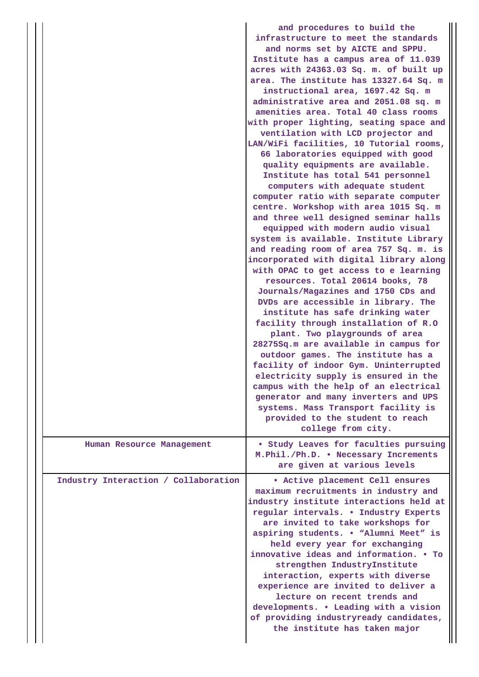|                                      | and procedures to build the<br>infrastructure to meet the standards<br>and norms set by AICTE and SPPU.<br>Institute has a campus area of 11.039<br>acres with 24363.03 Sq. m. of built up<br>area. The institute has 13327.64 Sq. m<br>instructional area, 1697.42 Sq. m<br>administrative area and 2051.08 sq. m<br>amenities area. Total 40 class rooms<br>with proper lighting, seating space and<br>ventilation with LCD projector and<br>LAN/WiFi facilities, 10 Tutorial rooms,<br>66 laboratories equipped with good<br>quality equipments are available.<br>Institute has total 541 personnel<br>computers with adequate student<br>computer ratio with separate computer<br>centre. Workshop with area 1015 Sq. m<br>and three well designed seminar halls<br>equipped with modern audio visual<br>system is available. Institute Library<br>and reading room of area 757 Sq. m. is<br>incorporated with digital library along<br>with OPAC to get access to e learning<br>resources. Total 20614 books, 78<br>Journals/Magazines and 1750 CDs and<br>DVDs are accessible in library. The<br>institute has safe drinking water<br>facility through installation of R.O<br>plant. Two playgrounds of area<br>28275Sq.m are available in campus for<br>outdoor games. The institute has a<br>facility of indoor Gym. Uninterrupted<br>electricity supply is ensured in the<br>campus with the help of an electrical<br>generator and many inverters and UPS<br>systems. Mass Transport facility is |
|--------------------------------------|------------------------------------------------------------------------------------------------------------------------------------------------------------------------------------------------------------------------------------------------------------------------------------------------------------------------------------------------------------------------------------------------------------------------------------------------------------------------------------------------------------------------------------------------------------------------------------------------------------------------------------------------------------------------------------------------------------------------------------------------------------------------------------------------------------------------------------------------------------------------------------------------------------------------------------------------------------------------------------------------------------------------------------------------------------------------------------------------------------------------------------------------------------------------------------------------------------------------------------------------------------------------------------------------------------------------------------------------------------------------------------------------------------------------------------------------------------------------------------------------------------|
|                                      | provided to the student to reach<br>college from city.                                                                                                                                                                                                                                                                                                                                                                                                                                                                                                                                                                                                                                                                                                                                                                                                                                                                                                                                                                                                                                                                                                                                                                                                                                                                                                                                                                                                                                                     |
| Human Resource Management            | • Study Leaves for faculties pursuing<br>M. Phil./Ph.D. . Necessary Increments<br>are given at various levels                                                                                                                                                                                                                                                                                                                                                                                                                                                                                                                                                                                                                                                                                                                                                                                                                                                                                                                                                                                                                                                                                                                                                                                                                                                                                                                                                                                              |
| Industry Interaction / Collaboration | . Active placement Cell ensures<br>maximum recruitments in industry and<br>industry institute interactions held at<br>regular intervals. . Industry Experts<br>are invited to take workshops for<br>aspiring students. . "Alumni Meet" is<br>held every year for exchanging<br>innovative ideas and information. • To<br>strengthen IndustryInstitute<br>interaction, experts with diverse<br>experience are invited to deliver a<br>lecture on recent trends and<br>developments. . Leading with a vision<br>of providing industryready candidates,<br>the institute has taken major                                                                                                                                                                                                                                                                                                                                                                                                                                                                                                                                                                                                                                                                                                                                                                                                                                                                                                                      |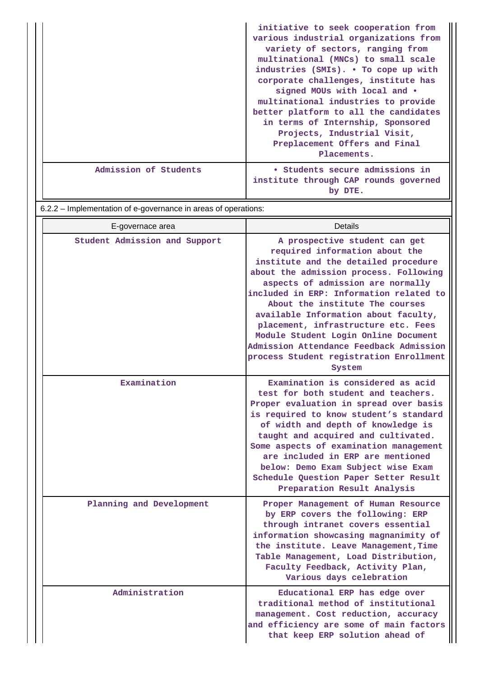|                       | initiative to seek cooperation from<br>various industrial organizations from<br>variety of sectors, ranging from<br>multinational (MNCs) to small scale<br>industries (SMIs). • To cope up with<br>corporate challenges, institute has<br>signed MOUs with local and $\bullet$<br>multinational industries to provide<br>better platform to all the candidates<br>in terms of Internship, Sponsored<br>Projects, Industrial Visit,<br>Preplacement Offers and Final<br>Placements. |
|-----------------------|------------------------------------------------------------------------------------------------------------------------------------------------------------------------------------------------------------------------------------------------------------------------------------------------------------------------------------------------------------------------------------------------------------------------------------------------------------------------------------|
| Admission of Students | • Students secure admissions in<br>institute through CAP rounds governed<br>by DTE.                                                                                                                                                                                                                                                                                                                                                                                                |

6.2.2 – Implementation of e-governance in areas of operations:

| E-governace area              | Details                                                                                                                                                                                                                                                                                                                                                                                                                                                                                     |
|-------------------------------|---------------------------------------------------------------------------------------------------------------------------------------------------------------------------------------------------------------------------------------------------------------------------------------------------------------------------------------------------------------------------------------------------------------------------------------------------------------------------------------------|
| Student Admission and Support | A prospective student can get<br>required information about the<br>institute and the detailed procedure<br>about the admission process. Following<br>aspects of admission are normally<br>included in ERP: Information related to<br>About the institute The courses<br>available Information about faculty,<br>placement, infrastructure etc. Fees<br>Module Student Login Online Document<br>Admission Attendance Feedback Admission<br>process Student registration Enrollment<br>System |
| Examination                   | Examination is considered as acid<br>test for both student and teachers.<br>Proper evaluation in spread over basis<br>is required to know student's standard<br>of width and depth of knowledge is<br>taught and acquired and cultivated.<br>Some aspects of examination management<br>are included in ERP are mentioned<br>below: Demo Exam Subject wise Exam<br>Schedule Question Paper Setter Result<br>Preparation Result Analysis                                                      |
| Planning and Development      | Proper Management of Human Resource<br>by ERP covers the following: ERP<br>through intranet covers essential<br>information showcasing magnanimity of<br>the institute. Leave Management, Time<br>Table Management, Load Distribution,<br>Faculty Feedback, Activity Plan,<br>Various days celebration                                                                                                                                                                                      |
| Administration                | Educational ERP has edge over<br>traditional method of institutional<br>management. Cost reduction, accuracy<br>and efficiency are some of main factors<br>that keep ERP solution ahead of                                                                                                                                                                                                                                                                                                  |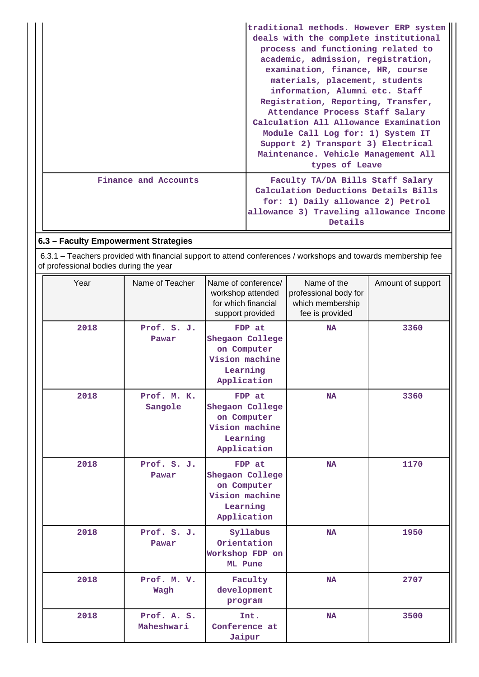|                      | traditional methods. However ERP system |
|----------------------|-----------------------------------------|
|                      | deals with the complete institutional   |
|                      | process and functioning related to      |
|                      | academic, admission, registration,      |
|                      | examination, finance, HR, course        |
|                      | materials, placement, students          |
|                      | information, Alumni etc. Staff          |
|                      | Registration, Reporting, Transfer,      |
|                      | Attendance Process Staff Salary         |
|                      | Calculation All Allowance Examination   |
|                      | Module Call Log for: 1) System IT       |
|                      | Support 2) Transport 3) Electrical      |
|                      | Maintenance. Vehicle Management All     |
|                      | types of Leave                          |
| Finance and Accounts | Faculty TA/DA Bills Staff Salary        |
|                      | Calculation Deductions Details Bills    |
|                      | for: 1) Daily allowance 2) Petrol       |
|                      | allowance 3) Traveling allowance Income |
|                      | Details                                 |

# **6.3 – Faculty Empowerment Strategies**

 6.3.1 – Teachers provided with financial support to attend conferences / workshops and towards membership fee of professional bodies during the year

| Year | Name of Teacher           | Name of conference/<br>workshop attended<br>for which financial<br>support provided   | Name of the<br>professional body for<br>which membership<br>fee is provided | Amount of support |
|------|---------------------------|---------------------------------------------------------------------------------------|-----------------------------------------------------------------------------|-------------------|
| 2018 | Prof. S. J.<br>Pawar      | FDP at<br>Shegaon College<br>on Computer<br>Vision machine<br>Learning<br>Application | <b>NA</b>                                                                   | 3360              |
| 2018 | Prof. M. K.<br>Sangole    | FDP at<br>Shegaon College<br>on Computer<br>Vision machine<br>Learning<br>Application | <b>NA</b>                                                                   | 3360              |
| 2018 | Prof. S. J.<br>Pawar      | FDP at<br>Shegaon College<br>on Computer<br>Vision machine<br>Learning<br>Application | <b>NA</b>                                                                   | 1170              |
| 2018 | Prof. S. J.<br>Pawar      | Syllabus<br>Orientation<br>Workshop FDP on<br>ML Pune                                 | <b>NA</b>                                                                   | 1950              |
| 2018 | Prof. M. V.<br>Wagh       | Faculty<br>development<br>program                                                     | <b>NA</b>                                                                   | 2707              |
| 2018 | Prof. A. S.<br>Maheshwari | Int.<br>Conference at<br>Jaipur                                                       | <b>NA</b>                                                                   | 3500              |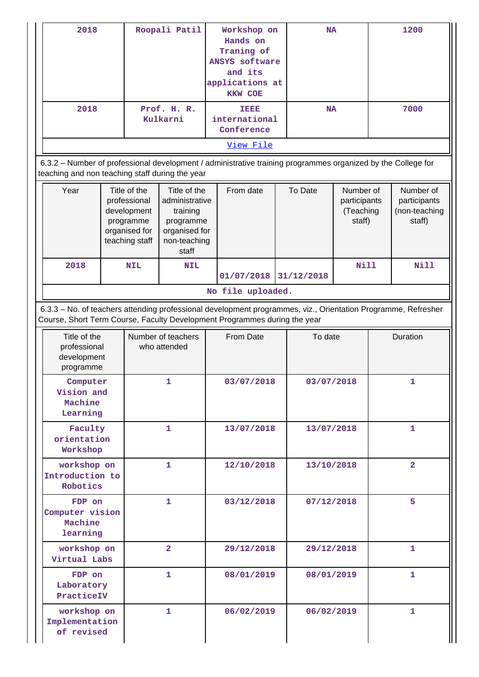| 2018<br>2018                                                                                                                                                                               |                                                                                             |            | Roopali Patil<br>Workshop on<br><b>NA</b><br>Hands on<br>Traning of<br><b>ANSYS software</b><br>and its<br>applications at<br><b>KKW COE</b><br>Prof. H. R.<br>TEEE<br><b>NA</b> |            |                             | 1200<br>7000 |                           |                                                  |              |                                                      |
|--------------------------------------------------------------------------------------------------------------------------------------------------------------------------------------------|---------------------------------------------------------------------------------------------|------------|----------------------------------------------------------------------------------------------------------------------------------------------------------------------------------|------------|-----------------------------|--------------|---------------------------|--------------------------------------------------|--------------|------------------------------------------------------|
|                                                                                                                                                                                            |                                                                                             |            | Kulkarni                                                                                                                                                                         |            | international<br>Conference |              |                           |                                                  |              |                                                      |
| View File                                                                                                                                                                                  |                                                                                             |            |                                                                                                                                                                                  |            |                             |              |                           |                                                  |              |                                                      |
| 6.3.2 - Number of professional development / administrative training programmes organized by the College for<br>teaching and non teaching staff during the year                            |                                                                                             |            |                                                                                                                                                                                  |            |                             |              |                           |                                                  |              |                                                      |
| Year                                                                                                                                                                                       | Title of the<br>professional<br>development<br>programme<br>organised for<br>teaching staff |            | Title of the<br>administrative<br>training<br>programme<br>organised for<br>non-teaching<br>staff                                                                                |            | From date                   |              | To Date                   | Number of<br>participants<br>(Teaching<br>staff) |              | Number of<br>participants<br>(non-teaching<br>staff) |
| 2018                                                                                                                                                                                       |                                                                                             | <b>NIL</b> | <b>NIL</b>                                                                                                                                                                       |            | 01/07/2018                  |              | <b>Nill</b><br>31/12/2018 |                                                  | Nill         |                                                      |
|                                                                                                                                                                                            |                                                                                             |            |                                                                                                                                                                                  |            | No file uploaded.           |              |                           |                                                  |              |                                                      |
| 6.3.3 - No. of teachers attending professional development programmes, viz., Orientation Programme, Refresher<br>Course, Short Term Course, Faculty Development Programmes during the year |                                                                                             |            |                                                                                                                                                                                  |            |                             |              |                           |                                                  |              |                                                      |
| Title of the<br>professional<br>development<br>programme                                                                                                                                   |                                                                                             |            | Number of teachers<br>who attended                                                                                                                                               |            | From Date                   |              | To date                   |                                                  |              | Duration                                             |
| Computer<br>Vision and<br>Machine<br>Learning                                                                                                                                              |                                                                                             | 1          |                                                                                                                                                                                  |            | 03/07/2018                  |              | 03/07/2018                |                                                  |              | 1                                                    |
| Faculty<br>orientation<br>Workshop                                                                                                                                                         |                                                                                             |            | $\mathbf{1}$                                                                                                                                                                     |            | 13/07/2018                  |              | 13/07/2018                |                                                  | $\mathbf{1}$ |                                                      |
| workshop on<br>Introduction to<br>Robotics                                                                                                                                                 |                                                                                             | 1          |                                                                                                                                                                                  |            | 12/10/2018                  |              | 13/10/2018                |                                                  | $\mathbf{2}$ |                                                      |
|                                                                                                                                                                                            | 1<br>FDP on<br>Computer vision<br>Machine<br>learning                                       |            |                                                                                                                                                                                  | 03/12/2018 |                             | 07/12/2018   |                           | 5                                                |              |                                                      |
| workshop on<br>Virtual Labs                                                                                                                                                                |                                                                                             |            | $\overline{a}$                                                                                                                                                                   |            | 29/12/2018                  |              | 29/12/2018                |                                                  |              | 1                                                    |
| FDP on<br>Laboratory<br>PracticeIV                                                                                                                                                         | 1                                                                                           |            |                                                                                                                                                                                  |            | 08/01/2019                  |              | 08/01/2019                |                                                  |              | $\mathbf{1}$                                         |
| workshop on<br>Implementation<br>of revised                                                                                                                                                |                                                                                             |            | 1                                                                                                                                                                                |            | 06/02/2019                  |              | 06/02/2019                |                                                  |              | 1                                                    |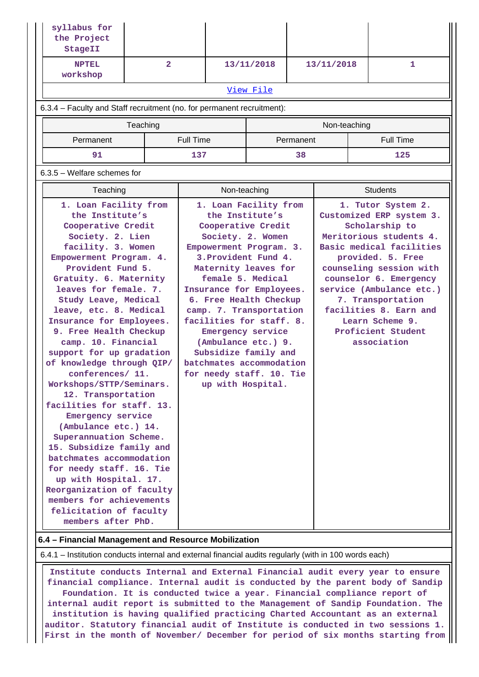| syllabus for<br>the Project<br>StageII                                                                                                                                                                                                                                                                                                                                                                                                                                                                                                                                                                                                                                                                                                                                                                                                          |          |                |                  |                                                                                                                                                                                                                                                                                                                                                                                                                                                                                                           |           |            |              |  |                                                                                                                                                                                                                                                                                                                                      |
|-------------------------------------------------------------------------------------------------------------------------------------------------------------------------------------------------------------------------------------------------------------------------------------------------------------------------------------------------------------------------------------------------------------------------------------------------------------------------------------------------------------------------------------------------------------------------------------------------------------------------------------------------------------------------------------------------------------------------------------------------------------------------------------------------------------------------------------------------|----------|----------------|------------------|-----------------------------------------------------------------------------------------------------------------------------------------------------------------------------------------------------------------------------------------------------------------------------------------------------------------------------------------------------------------------------------------------------------------------------------------------------------------------------------------------------------|-----------|------------|--------------|--|--------------------------------------------------------------------------------------------------------------------------------------------------------------------------------------------------------------------------------------------------------------------------------------------------------------------------------------|
| <b>NPTEL</b><br>workshop                                                                                                                                                                                                                                                                                                                                                                                                                                                                                                                                                                                                                                                                                                                                                                                                                        |          | $\overline{2}$ |                  | 13/11/2018                                                                                                                                                                                                                                                                                                                                                                                                                                                                                                |           | 13/11/2018 |              |  | 1                                                                                                                                                                                                                                                                                                                                    |
|                                                                                                                                                                                                                                                                                                                                                                                                                                                                                                                                                                                                                                                                                                                                                                                                                                                 |          |                |                  |                                                                                                                                                                                                                                                                                                                                                                                                                                                                                                           | View File |            |              |  |                                                                                                                                                                                                                                                                                                                                      |
| 6.3.4 – Faculty and Staff recruitment (no. for permanent recruitment):                                                                                                                                                                                                                                                                                                                                                                                                                                                                                                                                                                                                                                                                                                                                                                          |          |                |                  |                                                                                                                                                                                                                                                                                                                                                                                                                                                                                                           |           |            |              |  |                                                                                                                                                                                                                                                                                                                                      |
|                                                                                                                                                                                                                                                                                                                                                                                                                                                                                                                                                                                                                                                                                                                                                                                                                                                 | Teaching |                |                  |                                                                                                                                                                                                                                                                                                                                                                                                                                                                                                           |           |            | Non-teaching |  |                                                                                                                                                                                                                                                                                                                                      |
| Permanent                                                                                                                                                                                                                                                                                                                                                                                                                                                                                                                                                                                                                                                                                                                                                                                                                                       |          |                | <b>Full Time</b> |                                                                                                                                                                                                                                                                                                                                                                                                                                                                                                           |           | Permanent  |              |  | <b>Full Time</b>                                                                                                                                                                                                                                                                                                                     |
| 91                                                                                                                                                                                                                                                                                                                                                                                                                                                                                                                                                                                                                                                                                                                                                                                                                                              |          |                | 137              |                                                                                                                                                                                                                                                                                                                                                                                                                                                                                                           |           | 38         |              |  | 125                                                                                                                                                                                                                                                                                                                                  |
|                                                                                                                                                                                                                                                                                                                                                                                                                                                                                                                                                                                                                                                                                                                                                                                                                                                 |          |                |                  |                                                                                                                                                                                                                                                                                                                                                                                                                                                                                                           |           |            |              |  |                                                                                                                                                                                                                                                                                                                                      |
|                                                                                                                                                                                                                                                                                                                                                                                                                                                                                                                                                                                                                                                                                                                                                                                                                                                 |          |                |                  | Non-teaching                                                                                                                                                                                                                                                                                                                                                                                                                                                                                              |           |            |              |  | <b>Students</b>                                                                                                                                                                                                                                                                                                                      |
| 6.3.5 - Welfare schemes for<br>Teaching<br>1. Loan Facility from<br>the Institute's<br>Cooperative Credit<br>Society. 2. Lien<br>facility. 3. Women<br>Empowerment Program. 4.<br>Provident Fund 5.<br>Gratuity. 6. Maternity<br>leaves for female. 7.<br>Study Leave, Medical<br>leave, etc. 8. Medical<br>Insurance for Employees.<br>9. Free Health Checkup<br>camp. 10. Financial<br>support for up gradation<br>of knowledge through QIP/<br>conferences/ 11.<br>Workshops/STTP/Seminars.<br>12. Transportation<br>facilities for staff. 13.<br>Emergency service<br>(Ambulance etc.) 14.<br>Superannuation Scheme.<br>15. Subsidize family and<br>batchmates accommodation<br>for needy staff. 16. Tie<br>up with Hospital. 17.<br>Reorganization of faculty<br>members for achievements<br>felicitation of faculty<br>members after PhD. |          |                |                  | 1. Loan Facility from<br>the Institute's<br>Cooperative Credit<br>Society. 2. Women<br>Empowerment Program. 3.<br>3. Provident Fund 4.<br>Maternity leaves for<br>female 5. Medical<br>Insurance for Employees.<br>6. Free Health Checkup<br>camp. 7. Transportation<br>facilities for staff. 8.<br>Emergency service<br>(Ambulance etc.) 9.<br>Subsidize family and<br>batchmates accommodation<br>for needy staff. 10. Tie<br>up with Hospital.<br>6.4 - Financial Management and Resource Mobilization |           |            |              |  | 1. Tutor System 2.<br>Customized ERP system 3.<br>Scholarship to<br>Meritorious students 4.<br>Basic medical facilities<br>provided. 5. Free<br>counseling session with<br>counselor 6. Emergency<br>service (Ambulance etc.)<br>7. Transportation<br>facilities 8. Earn and<br>Learn Scheme 9.<br>Proficient Student<br>association |

6.4.1 – Institution conducts internal and external financial audits regularly (with in 100 words each)

 **Institute conducts Internal and External Financial audit every year to ensure financial compliance. Internal audit is conducted by the parent body of Sandip Foundation. It is conducted twice a year. Financial compliance report of internal audit report is submitted to the Management of Sandip Foundation. The institution is having qualified practicing Charted Accountant as an external auditor. Statutory financial audit of Institute is conducted in two sessions 1. First in the month of November/ December for period of six months starting from**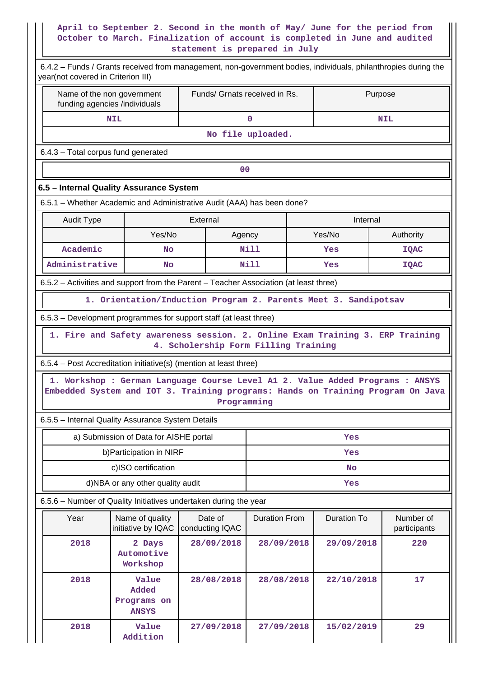### **April to September 2. Second in the month of May/ June for the period from October to March. Finalization of account is completed in June and audited statement is prepared in July**

| 6.4.2 - Funds / Grants received from management, non-government bodies, individuals, philanthropies during the<br>year(not covered in Criterion III) |                                                                               |                                      |                               |  |                    |                                                                                 |  |  |  |
|------------------------------------------------------------------------------------------------------------------------------------------------------|-------------------------------------------------------------------------------|--------------------------------------|-------------------------------|--|--------------------|---------------------------------------------------------------------------------|--|--|--|
| Name of the non government<br>funding agencies /individuals                                                                                          |                                                                               |                                      | Funds/ Grnats received in Rs. |  |                    | Purpose                                                                         |  |  |  |
|                                                                                                                                                      | <b>NIL</b>                                                                    |                                      | $\mathbf 0$                   |  | <b>NIL</b>         |                                                                                 |  |  |  |
|                                                                                                                                                      |                                                                               |                                      |                               |  |                    |                                                                                 |  |  |  |
|                                                                                                                                                      | 6.4.3 - Total corpus fund generated                                           |                                      |                               |  |                    |                                                                                 |  |  |  |
|                                                                                                                                                      | 0 <sup>0</sup>                                                                |                                      |                               |  |                    |                                                                                 |  |  |  |
| 6.5 - Internal Quality Assurance System                                                                                                              |                                                                               |                                      |                               |  |                    |                                                                                 |  |  |  |
| 6.5.1 - Whether Academic and Administrative Audit (AAA) has been done?                                                                               |                                                                               |                                      |                               |  |                    |                                                                                 |  |  |  |
| <b>Audit Type</b>                                                                                                                                    |                                                                               | External                             |                               |  | Internal           |                                                                                 |  |  |  |
|                                                                                                                                                      | Yes/No                                                                        |                                      | Agency                        |  | Yes/No             | Authority                                                                       |  |  |  |
| Academic                                                                                                                                             | No                                                                            |                                      | Nill                          |  | Yes                | <b>IQAC</b>                                                                     |  |  |  |
| Administrative                                                                                                                                       | <b>No</b>                                                                     |                                      | <b>Nill</b>                   |  | Yes                | <b>IQAC</b>                                                                     |  |  |  |
| 6.5.2 – Activities and support from the Parent – Teacher Association (at least three)                                                                |                                                                               |                                      |                               |  |                    |                                                                                 |  |  |  |
|                                                                                                                                                      | 1. Orientation/Induction Program 2. Parents Meet 3. Sandipotsav               |                                      |                               |  |                    |                                                                                 |  |  |  |
| 6.5.3 - Development programmes for support staff (at least three)                                                                                    |                                                                               |                                      |                               |  |                    |                                                                                 |  |  |  |
|                                                                                                                                                      | 1. Fire and Safety awareness session. 2. Online Exam Training 3. ERP Training | 4. Scholership Form Filling Training |                               |  |                    |                                                                                 |  |  |  |
| 6.5.4 – Post Accreditation initiative(s) (mention at least three)                                                                                    |                                                                               |                                      |                               |  |                    |                                                                                 |  |  |  |
|                                                                                                                                                      | 1. Workshop : German Language Course Level A1 2. Value Added Programs : ANSYS |                                      | Programming                   |  |                    | Embedded System and IOT 3. Training programs: Hands on Training Program On Java |  |  |  |
| 6.5.5 - Internal Quality Assurance System Details                                                                                                    |                                                                               |                                      |                               |  |                    |                                                                                 |  |  |  |
|                                                                                                                                                      | a) Submission of Data for AISHE portal                                        |                                      |                               |  | Yes                |                                                                                 |  |  |  |
|                                                                                                                                                      | b) Participation in NIRF                                                      |                                      | Yes                           |  |                    |                                                                                 |  |  |  |
|                                                                                                                                                      | c)ISO certification                                                           |                                      |                               |  | <b>No</b>          |                                                                                 |  |  |  |
|                                                                                                                                                      | d)NBA or any other quality audit                                              |                                      |                               |  | Yes                |                                                                                 |  |  |  |
| 6.5.6 - Number of Quality Initiatives undertaken during the year                                                                                     |                                                                               |                                      |                               |  |                    |                                                                                 |  |  |  |
| Year                                                                                                                                                 | Name of quality<br>initiative by IQAC                                         | Date of<br>conducting IQAC           | <b>Duration From</b>          |  | <b>Duration To</b> | Number of<br>participants                                                       |  |  |  |
| 2018                                                                                                                                                 | 2 Days<br>Automotive<br>Workshop                                              | 28/09/2018                           | 28/09/2018                    |  | 29/09/2018         | 220                                                                             |  |  |  |
| 2018                                                                                                                                                 | Value<br>Added<br>Programs on<br><b>ANSYS</b>                                 | 28/08/2018                           | 28/08/2018                    |  | 22/10/2018         | 17                                                                              |  |  |  |
| 2018                                                                                                                                                 | Value<br>Addition                                                             | 27/09/2018                           | 27/09/2018                    |  | 15/02/2019         | 29                                                                              |  |  |  |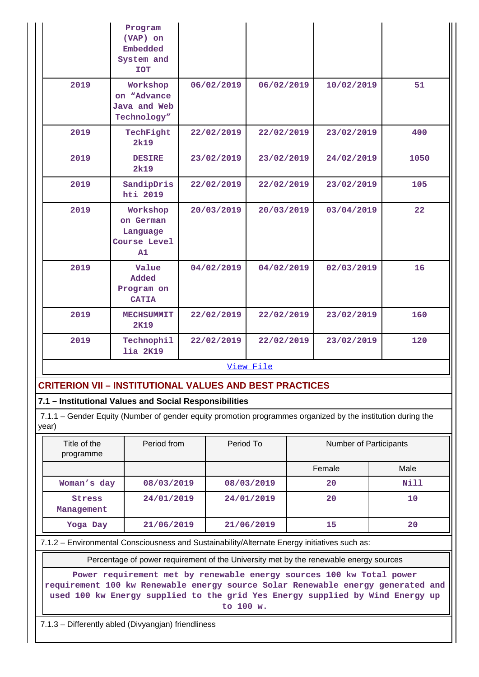|           | Program<br>(VAP) on<br>Embedded<br>System and<br><b>TOT</b> |            |            |            |      |  |
|-----------|-------------------------------------------------------------|------------|------------|------------|------|--|
| 2019      | Workshop<br>on "Advance"<br>Java and Web<br>Technology"     | 06/02/2019 | 06/02/2019 | 10/02/2019 | 51   |  |
| 2019      | TechFight<br>2k19                                           | 22/02/2019 | 22/02/2019 | 23/02/2019 | 400  |  |
| 2019      | <b>DESIRE</b><br>2k19                                       | 23/02/2019 | 23/02/2019 | 24/02/2019 | 1050 |  |
| 2019      | SandipDris<br>hti 2019                                      | 22/02/2019 | 22/02/2019 | 23/02/2019 | 105  |  |
| 2019      | Workshop<br>on German<br>Language<br>Course Level<br>A1     | 20/03/2019 | 20/03/2019 | 03/04/2019 | 22   |  |
| 2019      | Value<br>Added<br>Program on<br><b>CATIA</b>                | 04/02/2019 | 04/02/2019 | 02/03/2019 | 16   |  |
| 2019      | <b>MECHSUMMIT</b><br>2K19                                   | 22/02/2019 | 22/02/2019 | 23/02/2019 | 160  |  |
| 2019      | Technophil<br>lia 2K19                                      | 22/02/2019 | 22/02/2019 | 23/02/2019 | 120  |  |
| View File |                                                             |            |            |            |      |  |

### **CRITERION VII – INSTITUTIONAL VALUES AND BEST PRACTICES**

### **7.1 – Institutional Values and Social Responsibilities**

 7.1.1 – Gender Equity (Number of gender equity promotion programmes organized by the institution during the year)

| Title of the<br>programme   | Period from | Period To  | Number of Participants |      |
|-----------------------------|-------------|------------|------------------------|------|
|                             |             |            | Female                 | Male |
| Woman's day                 | 08/03/2019  | 08/03/2019 | 20                     | Nill |
| <b>Stress</b><br>Management | 24/01/2019  | 24/01/2019 | 20                     | 10   |
| Yoga Day                    | 21/06/2019  | 21/06/2019 | 15                     | 20   |

7.1.2 – Environmental Consciousness and Sustainability/Alternate Energy initiatives such as:

Percentage of power requirement of the University met by the renewable energy sources

**Power requirement met by renewable energy sources 100 kw Total power requirement 100 kw Renewable energy source Solar Renewable energy generated and used 100 kw Energy supplied to the grid Yes Energy supplied by Wind Energy up to 100 w.**

7.1.3 – Differently abled (Divyangjan) friendliness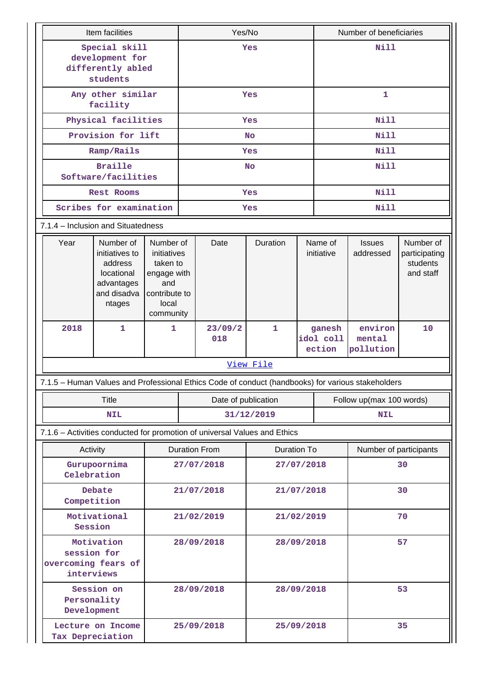|                                                                                                   | Item facilities                                                                             |                                                                                                   |            | Yes/No               |                                                 |  |                               | Number of beneficiaries        |                                                     |  |
|---------------------------------------------------------------------------------------------------|---------------------------------------------------------------------------------------------|---------------------------------------------------------------------------------------------------|------------|----------------------|-------------------------------------------------|--|-------------------------------|--------------------------------|-----------------------------------------------------|--|
|                                                                                                   | Special skill<br>development for                                                            |                                                                                                   |            |                      | Yes                                             |  |                               | <b>Nill</b>                    |                                                     |  |
|                                                                                                   | differently abled<br>students                                                               |                                                                                                   |            |                      |                                                 |  |                               |                                |                                                     |  |
|                                                                                                   | Any other similar<br>facility                                                               |                                                                                                   |            |                      | Yes                                             |  |                               | $\mathbf{1}$                   |                                                     |  |
|                                                                                                   | Physical facilities                                                                         |                                                                                                   |            |                      | Yes                                             |  |                               | <b>Nill</b>                    |                                                     |  |
|                                                                                                   | Provision for lift                                                                          |                                                                                                   |            |                      | <b>No</b>                                       |  |                               | <b>Nill</b>                    |                                                     |  |
|                                                                                                   | Ramp/Rails                                                                                  |                                                                                                   |            |                      | Yes                                             |  |                               | <b>Nill</b>                    |                                                     |  |
|                                                                                                   | <b>Braille</b><br>Software/facilities                                                       |                                                                                                   |            |                      | <b>No</b>                                       |  |                               | <b>Nill</b>                    |                                                     |  |
|                                                                                                   | Rest Rooms                                                                                  |                                                                                                   |            |                      | Yes                                             |  |                               | <b>Nill</b>                    |                                                     |  |
|                                                                                                   | Scribes for examination                                                                     |                                                                                                   |            |                      | Yes                                             |  |                               | <b>Nill</b>                    |                                                     |  |
| 7.1.4 - Inclusion and Situatedness                                                                |                                                                                             |                                                                                                   |            |                      |                                                 |  |                               |                                |                                                     |  |
| Year                                                                                              | Number of<br>initiatives to<br>address<br>locational<br>advantages<br>and disadva<br>ntages | Number of<br>initiatives<br>taken to<br>engage with<br>and<br>contribute to<br>local<br>community |            | Date                 | <b>Duration</b>                                 |  | Name of<br>initiative         | <b>Issues</b><br>addressed     | Number of<br>participating<br>students<br>and staff |  |
| 2018                                                                                              | 1                                                                                           | 1                                                                                                 |            | 23/09/2<br>018       | $\mathbf{1}$                                    |  | ganesh<br>idol coll<br>ection | environ<br>mental<br>pollution | 10                                                  |  |
|                                                                                                   |                                                                                             |                                                                                                   |            |                      | View File                                       |  |                               |                                |                                                     |  |
| 7.1.5 - Human Values and Professional Ethics Code of conduct (handbooks) for various stakeholders |                                                                                             |                                                                                                   |            |                      |                                                 |  |                               |                                |                                                     |  |
|                                                                                                   | <b>Title</b>                                                                                |                                                                                                   |            |                      | Follow up(max 100 words)<br>Date of publication |  |                               |                                |                                                     |  |
|                                                                                                   | <b>NIL</b>                                                                                  |                                                                                                   |            |                      | 31/12/2019                                      |  | <b>NIL</b>                    |                                |                                                     |  |
| 7.1.6 - Activities conducted for promotion of universal Values and Ethics                         |                                                                                             |                                                                                                   |            |                      |                                                 |  |                               |                                |                                                     |  |
| Activity                                                                                          |                                                                                             |                                                                                                   |            | <b>Duration From</b> | <b>Duration To</b>                              |  |                               | Number of participants         |                                                     |  |
| Celebration                                                                                       | Gurupoornima                                                                                |                                                                                                   |            | 27/07/2018           | 27/07/2018                                      |  | 30                            |                                |                                                     |  |
| Competition                                                                                       | Debate                                                                                      |                                                                                                   |            | 21/07/2018           | 21/07/2018                                      |  |                               | 30                             |                                                     |  |
|                                                                                                   | Motivational<br>Session                                                                     |                                                                                                   |            | 21/02/2019           | 21/02/2019                                      |  |                               |                                | 70                                                  |  |
| session for<br>overcoming fears of<br>interviews                                                  | Motivation                                                                                  |                                                                                                   | 28/09/2018 |                      | 28/09/2018                                      |  |                               |                                | 57                                                  |  |
| Personality<br>Development                                                                        | Session on                                                                                  |                                                                                                   |            | 28/09/2018           | 28/09/2018                                      |  |                               | 53                             |                                                     |  |
| Tax Depreciation                                                                                  | Lecture on Income                                                                           |                                                                                                   |            | 25/09/2018           | 25/09/2018                                      |  |                               | 35                             |                                                     |  |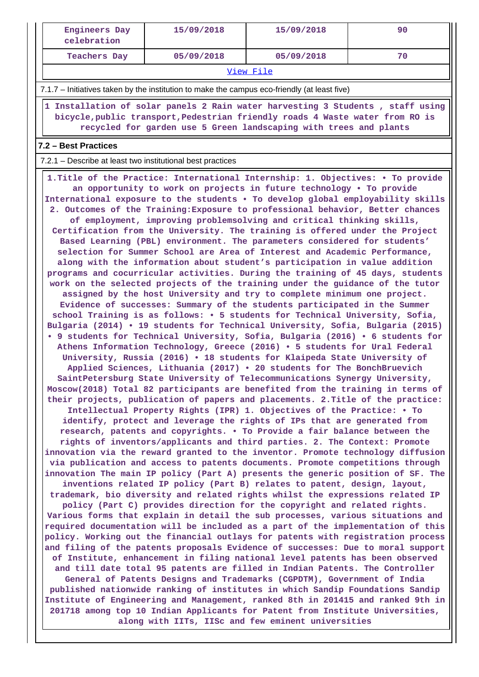| <b>Engineers Day</b><br>celebration                                                                                                                                                                                                  | 15/09/2018                                                                                                                                                                                                                                                                                                                                                                                                                                                                                                                                                                                                                                                                                                                                                                                                                                                                                                                                                                                                                                                                                                                                                                                                                                                                                                                                                                                                                                                                                                                                                                                                                                                                                                                                                                                                                                                                                                                                                                                                                                                                                                                                                                                                                                                                                                                                                                                                                                                                                                                                                                                                                                                                                                                                                                                                                                                                                                                                                                                                                                                                                                                                                                                                                                                                                                                                                                                                                                                                                                            | 15/09/2018 | 90 |  |  |  |  |  |  |
|--------------------------------------------------------------------------------------------------------------------------------------------------------------------------------------------------------------------------------------|-----------------------------------------------------------------------------------------------------------------------------------------------------------------------------------------------------------------------------------------------------------------------------------------------------------------------------------------------------------------------------------------------------------------------------------------------------------------------------------------------------------------------------------------------------------------------------------------------------------------------------------------------------------------------------------------------------------------------------------------------------------------------------------------------------------------------------------------------------------------------------------------------------------------------------------------------------------------------------------------------------------------------------------------------------------------------------------------------------------------------------------------------------------------------------------------------------------------------------------------------------------------------------------------------------------------------------------------------------------------------------------------------------------------------------------------------------------------------------------------------------------------------------------------------------------------------------------------------------------------------------------------------------------------------------------------------------------------------------------------------------------------------------------------------------------------------------------------------------------------------------------------------------------------------------------------------------------------------------------------------------------------------------------------------------------------------------------------------------------------------------------------------------------------------------------------------------------------------------------------------------------------------------------------------------------------------------------------------------------------------------------------------------------------------------------------------------------------------------------------------------------------------------------------------------------------------------------------------------------------------------------------------------------------------------------------------------------------------------------------------------------------------------------------------------------------------------------------------------------------------------------------------------------------------------------------------------------------------------------------------------------------------------------------------------------------------------------------------------------------------------------------------------------------------------------------------------------------------------------------------------------------------------------------------------------------------------------------------------------------------------------------------------------------------------------------------------------------------------------------------------------------------|------------|----|--|--|--|--|--|--|
| <b>Teachers Day</b>                                                                                                                                                                                                                  | 05/09/2018                                                                                                                                                                                                                                                                                                                                                                                                                                                                                                                                                                                                                                                                                                                                                                                                                                                                                                                                                                                                                                                                                                                                                                                                                                                                                                                                                                                                                                                                                                                                                                                                                                                                                                                                                                                                                                                                                                                                                                                                                                                                                                                                                                                                                                                                                                                                                                                                                                                                                                                                                                                                                                                                                                                                                                                                                                                                                                                                                                                                                                                                                                                                                                                                                                                                                                                                                                                                                                                                                                            | 05/09/2018 | 70 |  |  |  |  |  |  |
|                                                                                                                                                                                                                                      | View File                                                                                                                                                                                                                                                                                                                                                                                                                                                                                                                                                                                                                                                                                                                                                                                                                                                                                                                                                                                                                                                                                                                                                                                                                                                                                                                                                                                                                                                                                                                                                                                                                                                                                                                                                                                                                                                                                                                                                                                                                                                                                                                                                                                                                                                                                                                                                                                                                                                                                                                                                                                                                                                                                                                                                                                                                                                                                                                                                                                                                                                                                                                                                                                                                                                                                                                                                                                                                                                                                                             |            |    |  |  |  |  |  |  |
|                                                                                                                                                                                                                                      | 7.1.7 – Initiatives taken by the institution to make the campus eco-friendly (at least five)                                                                                                                                                                                                                                                                                                                                                                                                                                                                                                                                                                                                                                                                                                                                                                                                                                                                                                                                                                                                                                                                                                                                                                                                                                                                                                                                                                                                                                                                                                                                                                                                                                                                                                                                                                                                                                                                                                                                                                                                                                                                                                                                                                                                                                                                                                                                                                                                                                                                                                                                                                                                                                                                                                                                                                                                                                                                                                                                                                                                                                                                                                                                                                                                                                                                                                                                                                                                                          |            |    |  |  |  |  |  |  |
| 1 Installation of solar panels 2 Rain water harvesting 3 Students, staff using<br>bicycle, public transport, Pedestrian friendly roads 4 Waste water from RO is<br>recycled for garden use 5 Green landscaping with trees and plants |                                                                                                                                                                                                                                                                                                                                                                                                                                                                                                                                                                                                                                                                                                                                                                                                                                                                                                                                                                                                                                                                                                                                                                                                                                                                                                                                                                                                                                                                                                                                                                                                                                                                                                                                                                                                                                                                                                                                                                                                                                                                                                                                                                                                                                                                                                                                                                                                                                                                                                                                                                                                                                                                                                                                                                                                                                                                                                                                                                                                                                                                                                                                                                                                                                                                                                                                                                                                                                                                                                                       |            |    |  |  |  |  |  |  |
| 7.2 - Best Practices                                                                                                                                                                                                                 |                                                                                                                                                                                                                                                                                                                                                                                                                                                                                                                                                                                                                                                                                                                                                                                                                                                                                                                                                                                                                                                                                                                                                                                                                                                                                                                                                                                                                                                                                                                                                                                                                                                                                                                                                                                                                                                                                                                                                                                                                                                                                                                                                                                                                                                                                                                                                                                                                                                                                                                                                                                                                                                                                                                                                                                                                                                                                                                                                                                                                                                                                                                                                                                                                                                                                                                                                                                                                                                                                                                       |            |    |  |  |  |  |  |  |
| 7.2.1 – Describe at least two institutional best practices                                                                                                                                                                           |                                                                                                                                                                                                                                                                                                                                                                                                                                                                                                                                                                                                                                                                                                                                                                                                                                                                                                                                                                                                                                                                                                                                                                                                                                                                                                                                                                                                                                                                                                                                                                                                                                                                                                                                                                                                                                                                                                                                                                                                                                                                                                                                                                                                                                                                                                                                                                                                                                                                                                                                                                                                                                                                                                                                                                                                                                                                                                                                                                                                                                                                                                                                                                                                                                                                                                                                                                                                                                                                                                                       |            |    |  |  |  |  |  |  |
|                                                                                                                                                                                                                                      | 1. Title of the Practice: International Internship: 1. Objectives: • To provide<br>an opportunity to work on projects in future technology . To provide<br>International exposure to the students . To develop global employability skills<br>2. Outcomes of the Training: Exposure to professional behavior, Better chances<br>of employment, improving problemsolving and critical thinking skills,<br>Certification from the University. The training is offered under the Project<br>Based Learning (PBL) environment. The parameters considered for students'<br>selection for Summer School are Area of Interest and Academic Performance,<br>along with the information about student's participation in value addition<br>programs and cocurricular activities. During the training of 45 days, students<br>work on the selected projects of the training under the guidance of the tutor<br>assigned by the host University and try to complete minimum one project.<br>Evidence of successes: Summary of the students participated in the Summer<br>school Training is as follows: • 5 students for Technical University, Sofia,<br>Bulgaria (2014) • 19 students for Technical University, Sofia, Bulgaria (2015)<br>• 9 students for Technical University, Sofia, Bulgaria (2016) • 6 students for<br>Athens Information Technology, Greece (2016) . 5 students for Ural Federal<br>University, Russia (2016) . 18 students for Klaipeda State University of<br>Applied Sciences, Lithuania (2017) . 20 students for The BonchBruevich<br>SaintPetersburg State University of Telecommunications Synergy University,<br>Moscow(2018) Total 82 participants are benefited from the training in terms of<br>their projects, publication of papers and placements. 2. Title of the practice:<br>Intellectual Property Rights (IPR) 1. Objectives of the Practice: • To<br>identify, protect and leverage the rights of IPs that are generated from<br>research, patents and copyrights. . To Provide a fair balance between the<br>rights of inventors/applicants and third parties. 2. The Context: Promote<br>innovation via the reward granted to the inventor. Promote technology diffusion<br>via publication and access to patents documents. Promote competitions through<br>innovation The main IP policy (Part A) presents the generic position of SF. The<br>inventions related IP policy (Part B) relates to patent, design, layout,<br>trademark, bio diversity and related rights whilst the expressions related IP<br>policy (Part C) provides direction for the copyright and related rights.<br>Various forms that explain in detail the sub processes, various situations and<br>required documentation will be included as a part of the implementation of this<br>policy. Working out the financial outlays for patents with registration process<br>and filing of the patents proposals Evidence of successes: Due to moral support<br>of Institute, enhancement in filing national level patents has been observed<br>and till date total 95 patents are filled in Indian Patents. The Controller<br>General of Patents Designs and Trademarks (CGPDTM), Government of India<br>published nationwide ranking of institutes in which Sandip Foundations Sandip<br>Institute of Engineering and Management, ranked 8th in 201415 and ranked 9th in<br>201718 among top 10 Indian Applicants for Patent from Institute Universities,<br>along with IITs, IISc and few eminent universities |            |    |  |  |  |  |  |  |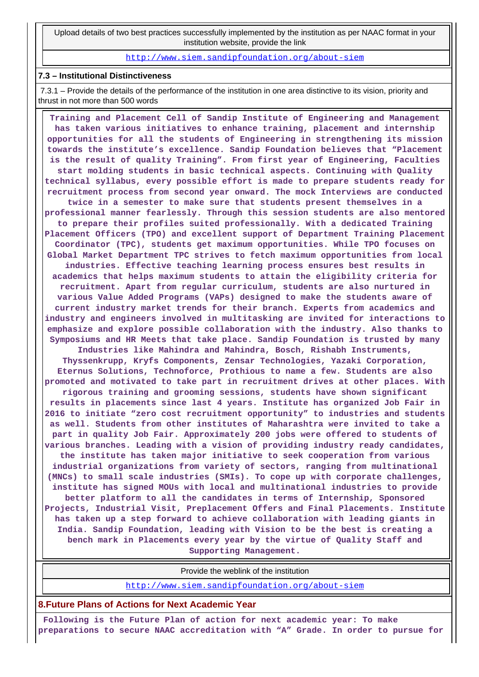Upload details of two best practices successfully implemented by the institution as per NAAC format in your institution website, provide the link

<http://www.siem.sandipfoundation.org/about-siem>

#### **7.3 – Institutional Distinctiveness**

 7.3.1 – Provide the details of the performance of the institution in one area distinctive to its vision, priority and thrust in not more than 500 words

 **Training and Placement Cell of Sandip Institute of Engineering and Management has taken various initiatives to enhance training, placement and internship opportunities for all the students of Engineering in strengthening its mission towards the institute's excellence. Sandip Foundation believes that "Placement is the result of quality Training". From first year of Engineering, Faculties start molding students in basic technical aspects. Continuing with Quality technical syllabus, every possible effort is made to prepare students ready for recruitment process from second year onward. The mock Interviews are conducted twice in a semester to make sure that students present themselves in a professional manner fearlessly. Through this session students are also mentored to prepare their profiles suited professionally. With a dedicated Training Placement Officers (TPO) and excellent support of Department Training Placement Coordinator (TPC), students get maximum opportunities. While TPO focuses on Global Market Department TPC strives to fetch maximum opportunities from local industries. Effective teaching learning process ensures best results in academics that helps maximum students to attain the eligibility criteria for recruitment. Apart from regular curriculum, students are also nurtured in various Value Added Programs (VAPs) designed to make the students aware of current industry market trends for their branch. Experts from academics and industry and engineers involved in multitasking are invited for interactions to emphasize and explore possible collaboration with the industry. Also thanks to Symposiums and HR Meets that take place. Sandip Foundation is trusted by many Industries like Mahindra and Mahindra, Bosch, Rishabh Instruments, Thyssenkrupp, Kryfs Components, Zensar Technologies, Yazaki Corporation, Eternus Solutions, Technoforce, Prothious to name a few. Students are also promoted and motivated to take part in recruitment drives at other places. With rigorous training and grooming sessions, students have shown significant results in placements since last 4 years. Institute has organized Job Fair in 2016 to initiate "zero cost recruitment opportunity" to industries and students as well. Students from other institutes of Maharashtra were invited to take a part in quality Job Fair. Approximately 200 jobs were offered to students of various branches. Leading with a vision of providing industry ready candidates, the institute has taken major initiative to seek cooperation from various industrial organizations from variety of sectors, ranging from multinational (MNCs) to small scale industries (SMIs). To cope up with corporate challenges, institute has signed MOUs with local and multinational industries to provide better platform to all the candidates in terms of Internship, Sponsored Projects, Industrial Visit, Preplacement Offers and Final Placements. Institute has taken up a step forward to achieve collaboration with leading giants in India. Sandip Foundation, leading with Vision to be the best is creating a bench mark in Placements every year by the virtue of Quality Staff and Supporting Management.**

Provide the weblink of the institution

<http://www.siem.sandipfoundation.org/about-siem>

**8.Future Plans of Actions for Next Academic Year**

 **Following is the Future Plan of action for next academic year: To make preparations to secure NAAC accreditation with "A" Grade. In order to pursue for**